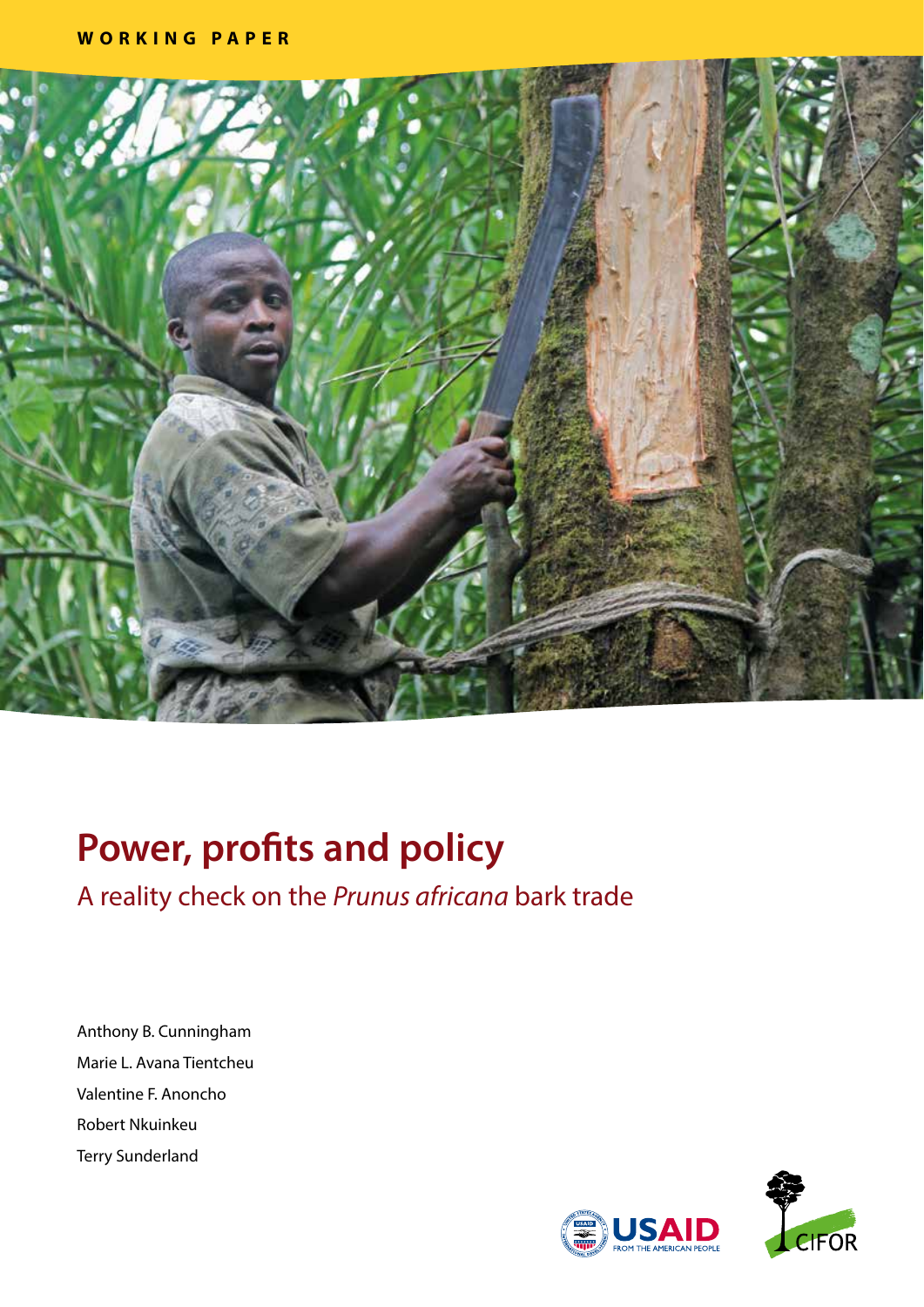

# **Power, profits and policy**

A reality check on the *Prunus africana* bark trade

Anthony B. Cunningham Marie L. Avana Tientcheu Valentine F. Anoncho Robert Nkuinkeu Terry Sunderland

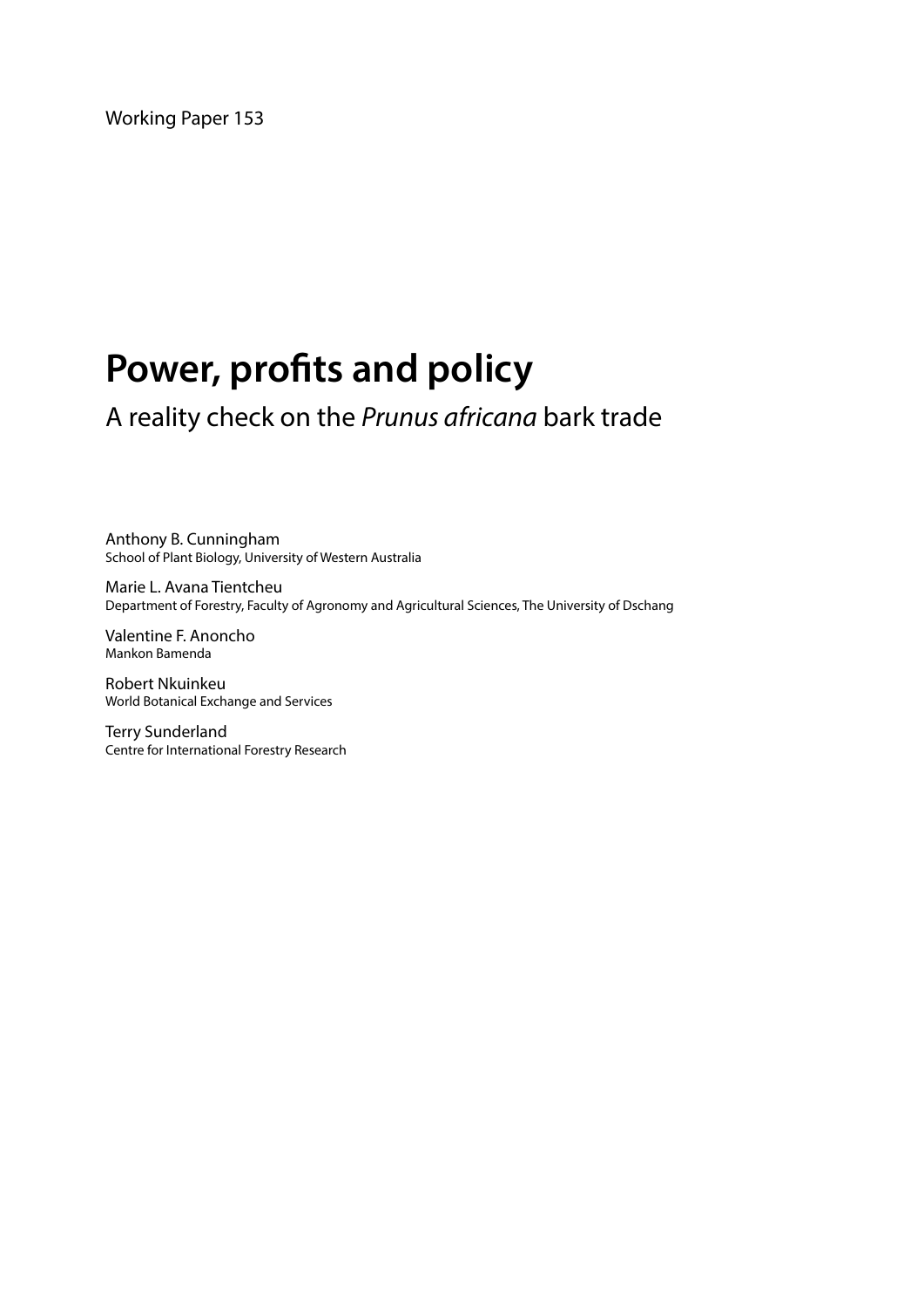Working Paper 153

# **Power, profits and policy**

A reality check on the *Prunus africana* bark trade

Anthony B. Cunningham School of Plant Biology, University of Western Australia

Marie L. Avana Tientcheu Department of Forestry, Faculty of Agronomy and Agricultural Sciences, The University of Dschang

Valentine F. Anoncho Mankon Bamenda

Robert Nkuinkeu World Botanical Exchange and Services

Terry Sunderland Centre for International Forestry Research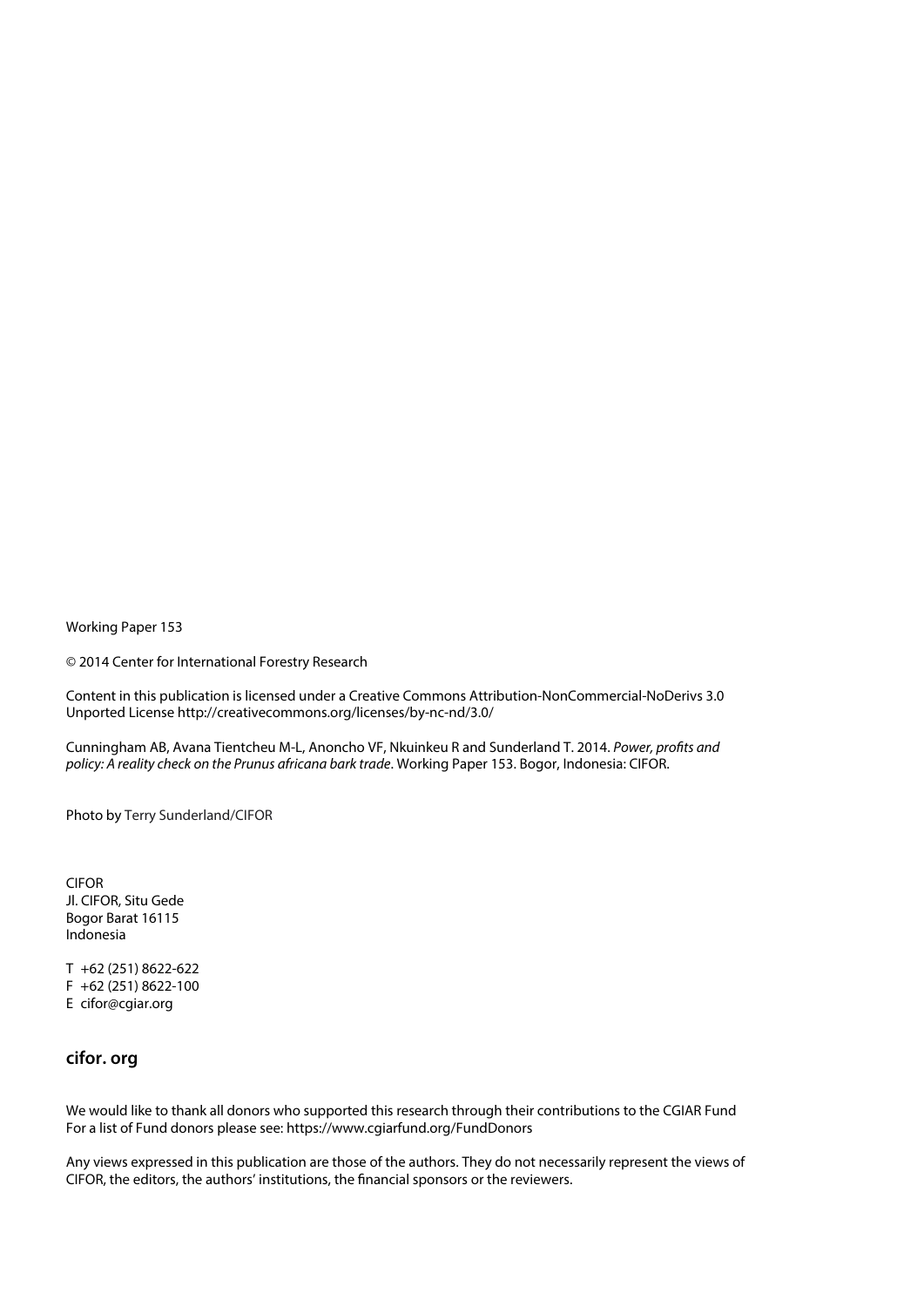Working Paper 153

© 2014 Center for International Forestry Research

Content in this publication is licensed under a Creative Commons Attribution-NonCommercial-NoDerivs 3.0 Unported License http://creativecommons.org/licenses/by-nc-nd/3.0/

Cunningham AB, Avana Tientcheu M-L, Anoncho VF, Nkuinkeu R and Sunderland T. 2014. *Power, profits and policy: A reality check on the Prunus africana bark trade*. Working Paper 153. Bogor, Indonesia: CIFOR.

Photo by Terry Sunderland/CIFOR

CIFOR Jl. CIFOR, Situ Gede Bogor Barat 16115 Indonesia

T +62 (251) 8622-622 F +62 (251) 8622-100 E cifor@cgiar.org

#### **cifor. org**

We would like to thank all donors who supported this research through their contributions to the CGIAR Fund For a list of Fund donors please see: https://www.cgiarfund.org/FundDonors

Any views expressed in this publication are those of the authors. They do not necessarily represent the views of CIFOR, the editors, the authors' institutions, the financial sponsors or the reviewers.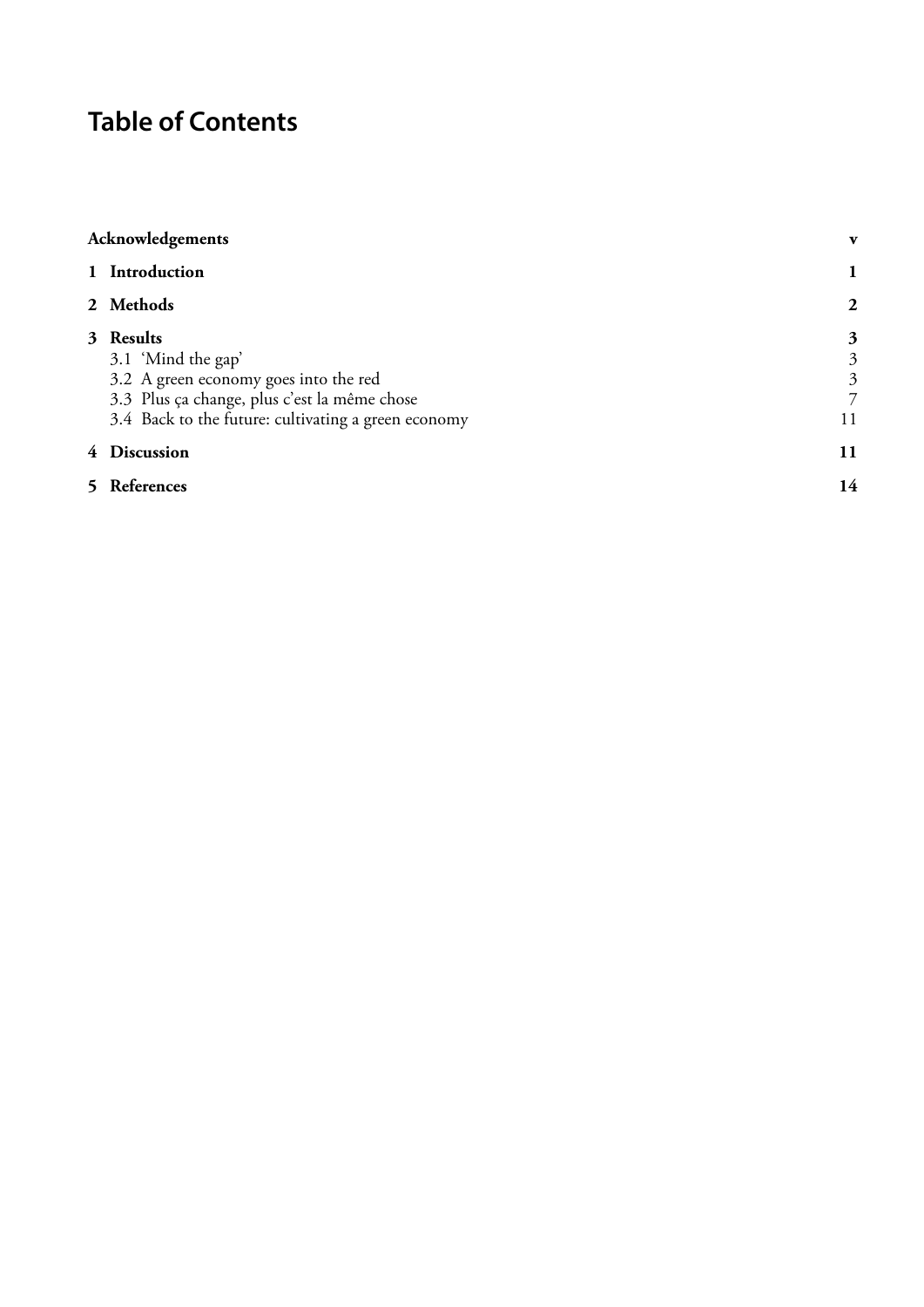# **Table of Contents**

| Acknowledgements                                                                                                                                                                |                                     |
|---------------------------------------------------------------------------------------------------------------------------------------------------------------------------------|-------------------------------------|
| 1 Introduction                                                                                                                                                                  |                                     |
| 2 Methods                                                                                                                                                                       | $\overline{2}$                      |
| 3 Results<br>3.1 'Mind the gap'<br>3.2 A green economy goes into the red<br>3.3 Plus ça change, plus c'est la même chose<br>3.4 Back to the future: cultivating a green economy | 3<br>3<br>$\mathfrak{Z}$<br>7<br>11 |
| 4 Discussion                                                                                                                                                                    | 11                                  |
| 5 References                                                                                                                                                                    | 14                                  |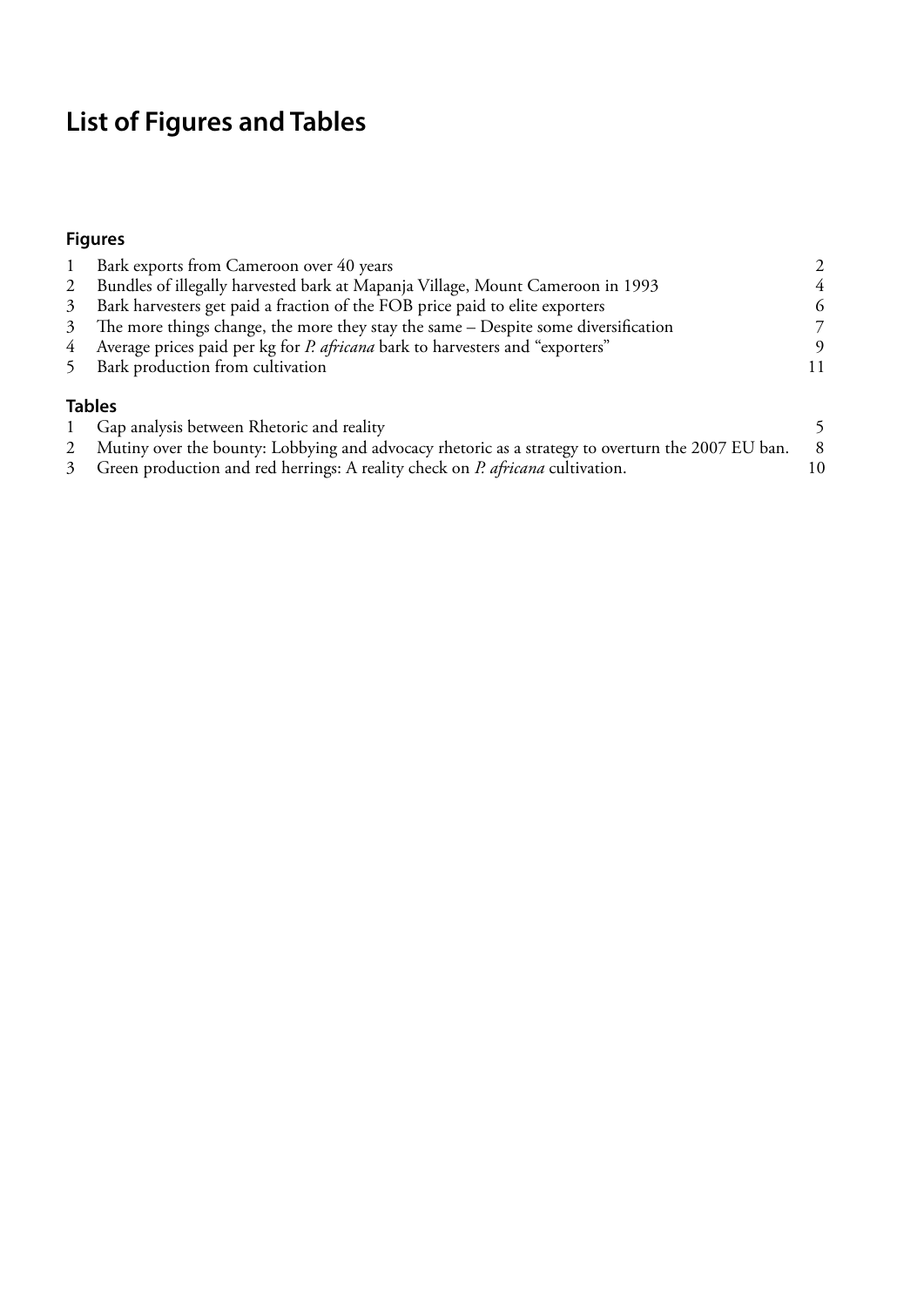# **List of Figures and Tables**

#### **Figures**

|                | Bark exports from Cameroon over 40 years                                                          |    |
|----------------|---------------------------------------------------------------------------------------------------|----|
| $\overline{2}$ | Bundles of illegally harvested bark at Mapanja Village, Mount Cameroon in 1993                    | 4  |
| 3              | Bark harvesters get paid a fraction of the FOB price paid to elite exporters                      | 6  |
| 3              | The more things change, the more they stay the same - Despite some diversification                | 7  |
| 4              | Average prices paid per kg for <i>P. africana</i> bark to harvesters and "exporters"              | 9  |
| 5              | Bark production from cultivation                                                                  |    |
|                | <b>Tables</b>                                                                                     |    |
|                | Gap analysis between Rhetoric and reality                                                         | 5  |
| 2              | Mutiny over the bounty: Lobbying and advocacy rhetoric as a strategy to overturn the 2007 EU ban. | 8  |
| $\mathfrak{Z}$ | Green production and red herrings: A reality check on P. africana cultivation.                    | 10 |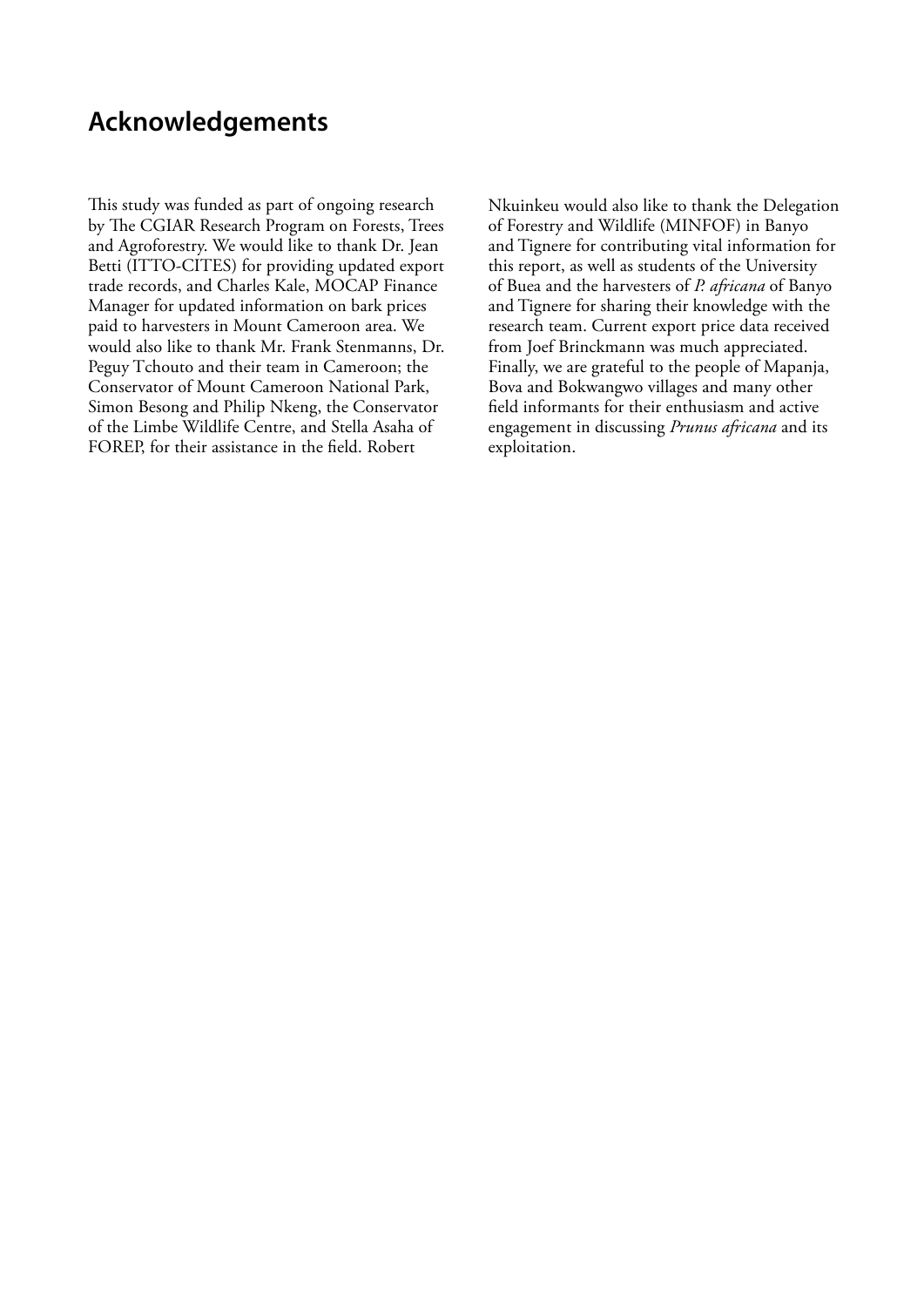# <span id="page-6-0"></span>**Acknowledgements**

This study was funded as part of ongoing research by The CGIAR Research Program on Forests, Trees and Agroforestry. We would like to thank Dr. Jean Betti (ITTO-CITES) for providing updated export trade records, and Charles Kale, MOCAP Finance Manager for updated information on bark prices paid to harvesters in Mount Cameroon area. We would also like to thank Mr. Frank Stenmanns, Dr. Peguy Tchouto and their team in Cameroon; the Conservator of Mount Cameroon National Park, Simon Besong and Philip Nkeng, the Conservator of the Limbe Wildlife Centre, and Stella Asaha of FOREP, for their assistance in the field. Robert

Nkuinkeu would also like to thank the Delegation of Forestry and Wildlife (MINFOF) in Banyo and Tignere for contributing vital information for this report, as well as students of the University of Buea and the harvesters of *P. africana* of Banyo and Tignere for sharing their knowledge with the research team. Current export price data received from Joef Brinckmann was much appreciated. Finally, we are grateful to the people of Mapanja, Bova and Bokwangwo villages and many other field informants for their enthusiasm and active engagement in discussing *Prunus africana* and its exploitation.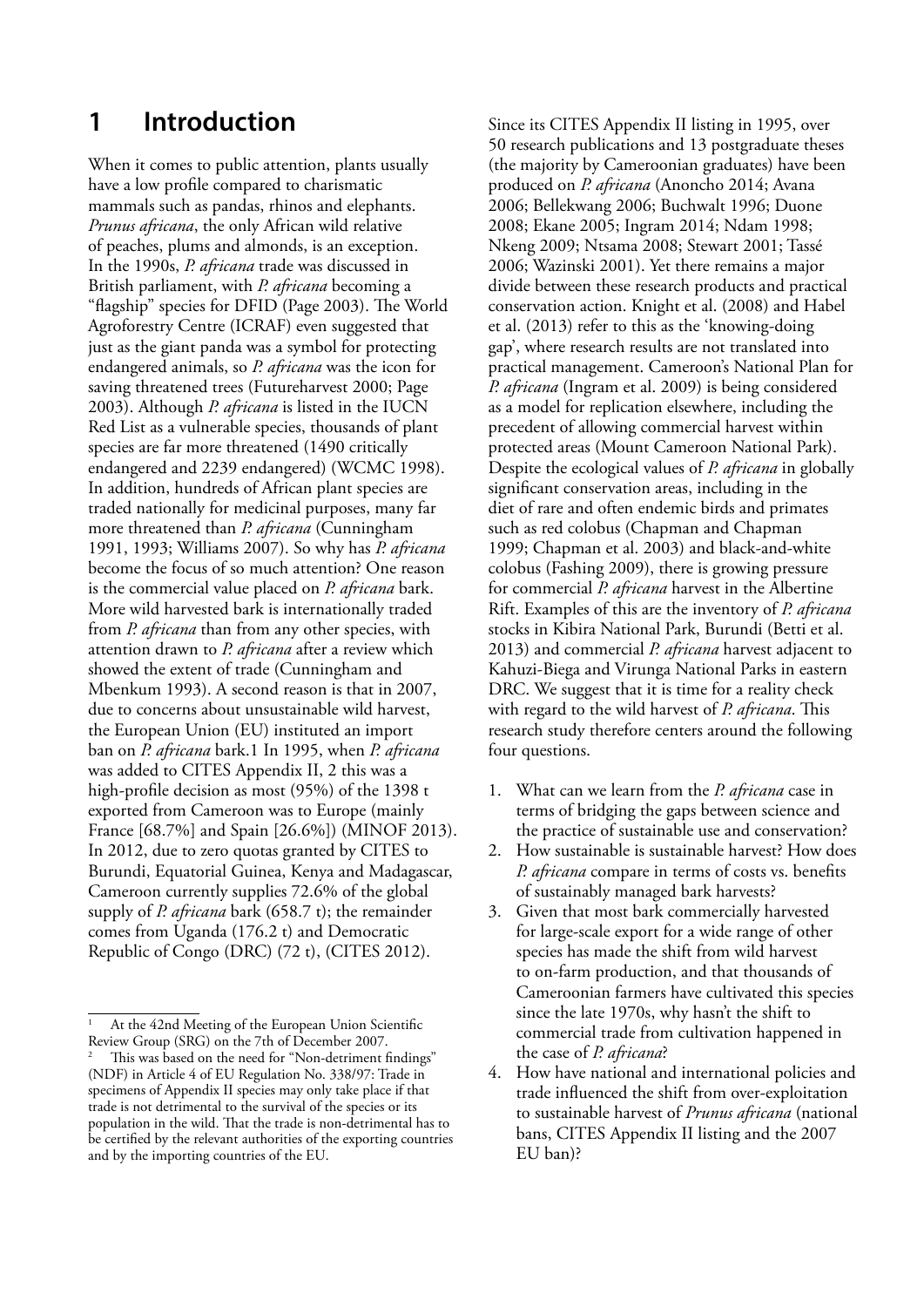### <span id="page-8-0"></span>**1 Introduction**

When it comes to public attention, plants usually have a low profile compared to charismatic mammals such as pandas, rhinos and elephants. *Prunus africana*, the only African wild relative of peaches, plums and almonds, is an exception. In the 1990s, *P. africana* trade was discussed in British parliament, with *P. africana* becoming a "flagship" species for DFID (Page 2003). The World Agroforestry Centre (ICRAF) even suggested that just as the giant panda was a symbol for protecting endangered animals, so *P. africana* was the icon for saving threatened trees (Futureharvest 2000; Page 2003). Although *P. africana* is listed in the IUCN Red List as a vulnerable species, thousands of plant species are far more threatened (1490 critically endangered and 2239 endangered) (WCMC 1998). In addition, hundreds of African plant species are traded nationally for medicinal purposes, many far more threatened than *P. africana* (Cunningham 1991, 1993; Williams 2007). So why has *P. africana*  become the focus of so much attention? One reason is the commercial value placed on *P. africana* bark. More wild harvested bark is internationally traded from *P. africana* than from any other species, with attention drawn to *P. africana* after a review which showed the extent of trade (Cunningham and Mbenkum 1993). A second reason is that in 2007, due to concerns about unsustainable wild harvest, the European Union (EU) instituted an import ban on *P. africana* bark.1 In 1995, when *P. africana* was added to CITES Appendix II, 2 this was a high-profile decision as most (95%) of the 1398 t exported from Cameroon was to Europe (mainly France [68.7%] and Spain [26.6%]) (MINOF 2013). In 2012, due to zero quotas granted by CITES to Burundi, Equatorial Guinea, Kenya and Madagascar, Cameroon currently supplies 72.6% of the global supply of *P. africana* bark (658.7 t); the remainder comes from Uganda (176.2 t) and Democratic Republic of Congo (DRC) (72 t), (CITES 2012).

Since its CITES Appendix II listing in 1995, over 50 research publications and 13 postgraduate theses (the majority by Cameroonian graduates) have been produced on *P. africana* (Anoncho 2014; Avana 2006; Bellekwang 2006; Buchwalt 1996; Duone 2008; Ekane 2005; Ingram 2014; Ndam 1998; Nkeng 2009; Ntsama 2008; Stewart 2001; Tassé 2006; Wazinski 2001). Yet there remains a major divide between these research products and practical conservation action. Knight et al. (2008) and Habel et al. (2013) refer to this as the 'knowing-doing gap', where research results are not translated into practical management. Cameroon's National Plan for *P. africana* (Ingram et al. 2009) is being considered as a model for replication elsewhere, including the precedent of allowing commercial harvest within protected areas (Mount Cameroon National Park). Despite the ecological values of *P. africana* in globally significant conservation areas, including in the diet of rare and often endemic birds and primates such as red colobus (Chapman and Chapman 1999; Chapman et al. 2003) and black-and-white colobus (Fashing 2009), there is growing pressure for commercial *P. africana* harvest in the Albertine Rift. Examples of this are the inventory of *P. africana* stocks in Kibira National Park, Burundi (Betti et al. 2013) and commercial *P. africana* harvest adjacent to Kahuzi-Biega and Virunga National Parks in eastern DRC. We suggest that it is time for a reality check with regard to the wild harvest of *P. africana*. This research study therefore centers around the following four questions.

- 1. What can we learn from the *P. africana* case in terms of bridging the gaps between science and the practice of sustainable use and conservation?
- 2. How sustainable is sustainable harvest? How does *P. africana* compare in terms of costs vs. benefits of sustainably managed bark harvests?
- 3. Given that most bark commercially harvested for large-scale export for a wide range of other species has made the shift from wild harvest to on-farm production, and that thousands of Cameroonian farmers have cultivated this species since the late 1970s, why hasn't the shift to commercial trade from cultivation happened in the case of *P. africana*?
- 4. How have national and international policies and trade influenced the shift from over-exploitation to sustainable harvest of *Prunus africana* (national bans, CITES Appendix II listing and the 2007 EU ban)?

At the 42nd Meeting of the European Union Scientific Review Group (SRG) on the 7th of December 2007.

This was based on the need for "Non-detriment findings" (NDF) in Article 4 of EU Regulation No. 338/97: Trade in specimens of Appendix II species may only take place if that trade is not detrimental to the survival of the species or its population in the wild. That the trade is non-detrimental has to be certified by the relevant authorities of the exporting countries and by the importing countries of the EU.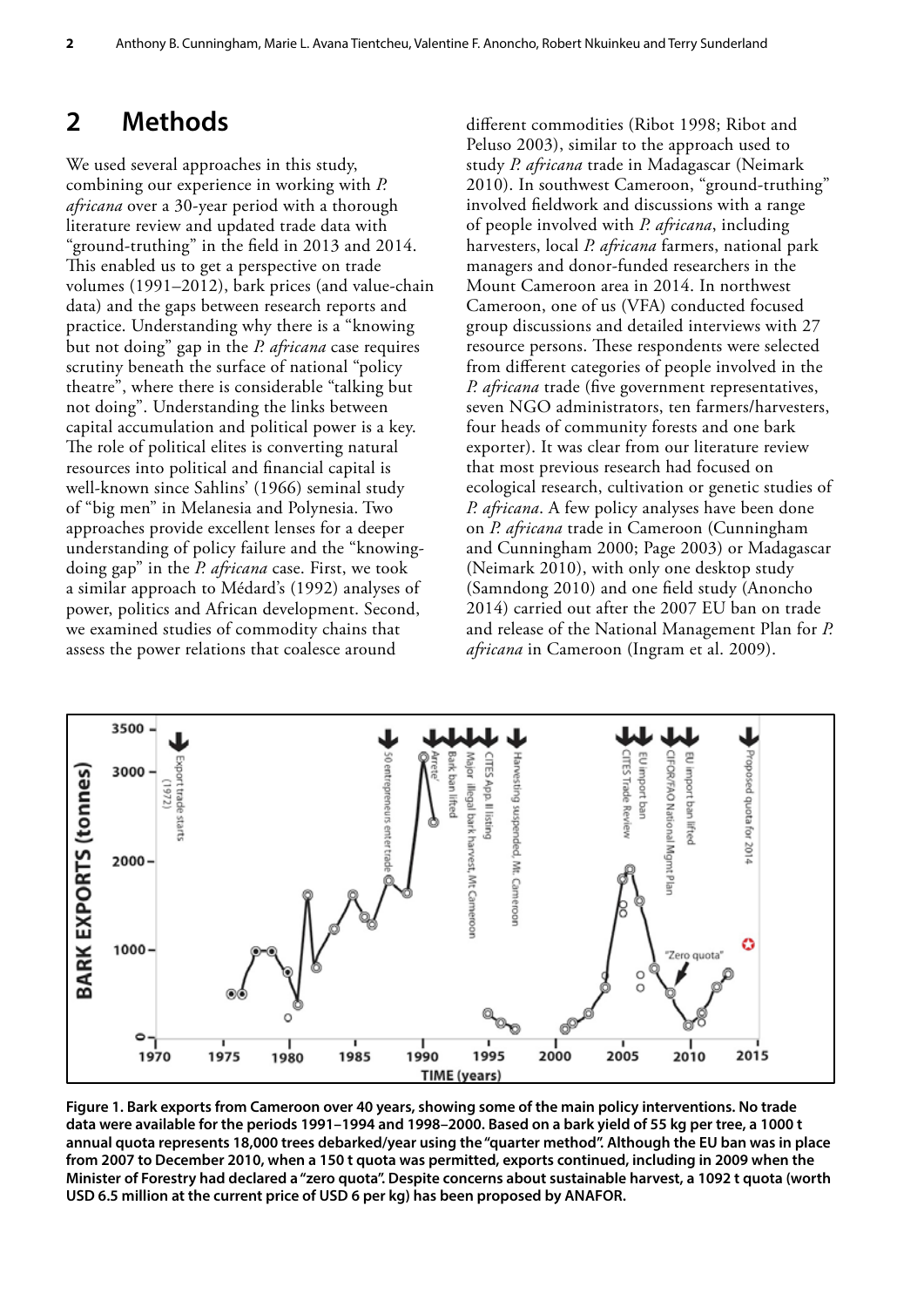### <span id="page-9-0"></span>**2 Methods**

We used several approaches in this study, combining our experience in working with *P. africana* over a 30-year period with a thorough literature review and updated trade data with "ground-truthing" in the field in 2013 and 2014. This enabled us to get a perspective on trade volumes (1991–2012), bark prices (and value-chain data) and the gaps between research reports and practice. Understanding why there is a "knowing but not doing" gap in the *P. africana* case requires scrutiny beneath the surface of national "policy theatre", where there is considerable "talking but not doing". Understanding the links between capital accumulation and political power is a key. The role of political elites is converting natural resources into political and financial capital is well-known since Sahlins' (1966) seminal study of "big men" in Melanesia and Polynesia. Two approaches provide excellent lenses for a deeper understanding of policy failure and the "knowingdoing gap" in the *P. africana* case. First, we took a similar approach to Médard's (1992) analyses of power, politics and African development. Second, we examined studies of commodity chains that assess the power relations that coalesce around

different commodities (Ribot 1998; Ribot and Peluso 2003), similar to the approach used to study *P. africana* trade in Madagascar (Neimark 2010). In southwest Cameroon, "ground-truthing" involved fieldwork and discussions with a range of people involved with *P. africana*, including harvesters, local *P. africana* farmers, national park managers and donor-funded researchers in the Mount Cameroon area in 2014. In northwest Cameroon, one of us (VFA) conducted focused group discussions and detailed interviews with 27 resource persons. These respondents were selected from different categories of people involved in the *P. africana* trade (five government representatives, seven NGO administrators, ten farmers/harvesters, four heads of community forests and one bark exporter). It was clear from our literature review that most previous research had focused on ecological research, cultivation or genetic studies of *P. africana*. A few policy analyses have been done on *P. africana* trade in Cameroon (Cunningham and Cunningham 2000; Page 2003) or Madagascar (Neimark 2010), with only one desktop study (Samndong 2010) and one field study (Anoncho 2014) carried out after the 2007 EU ban on trade and release of the National Management Plan for *P. africana* in Cameroon (Ingram et al. 2009).



**Figure 1. Bark exports from Cameroon over 40 years, showing some of the main policy interventions. No trade data were available for the periods 1991–1994 and 1998–2000. Based on a bark yield of 55 kg per tree, a 1000 t annual quota represents 18,000 trees debarked/year using the "quarter method". Although the EU ban was in place from 2007 to December 2010, when a 150 t quota was permitted, exports continued, including in 2009 when the Minister of Forestry had declared a "zero quota". Despite concerns about sustainable harvest, a 1092 t quota (worth USD 6.5 million at the current price of USD 6 per kg) has been proposed by ANAFOR.**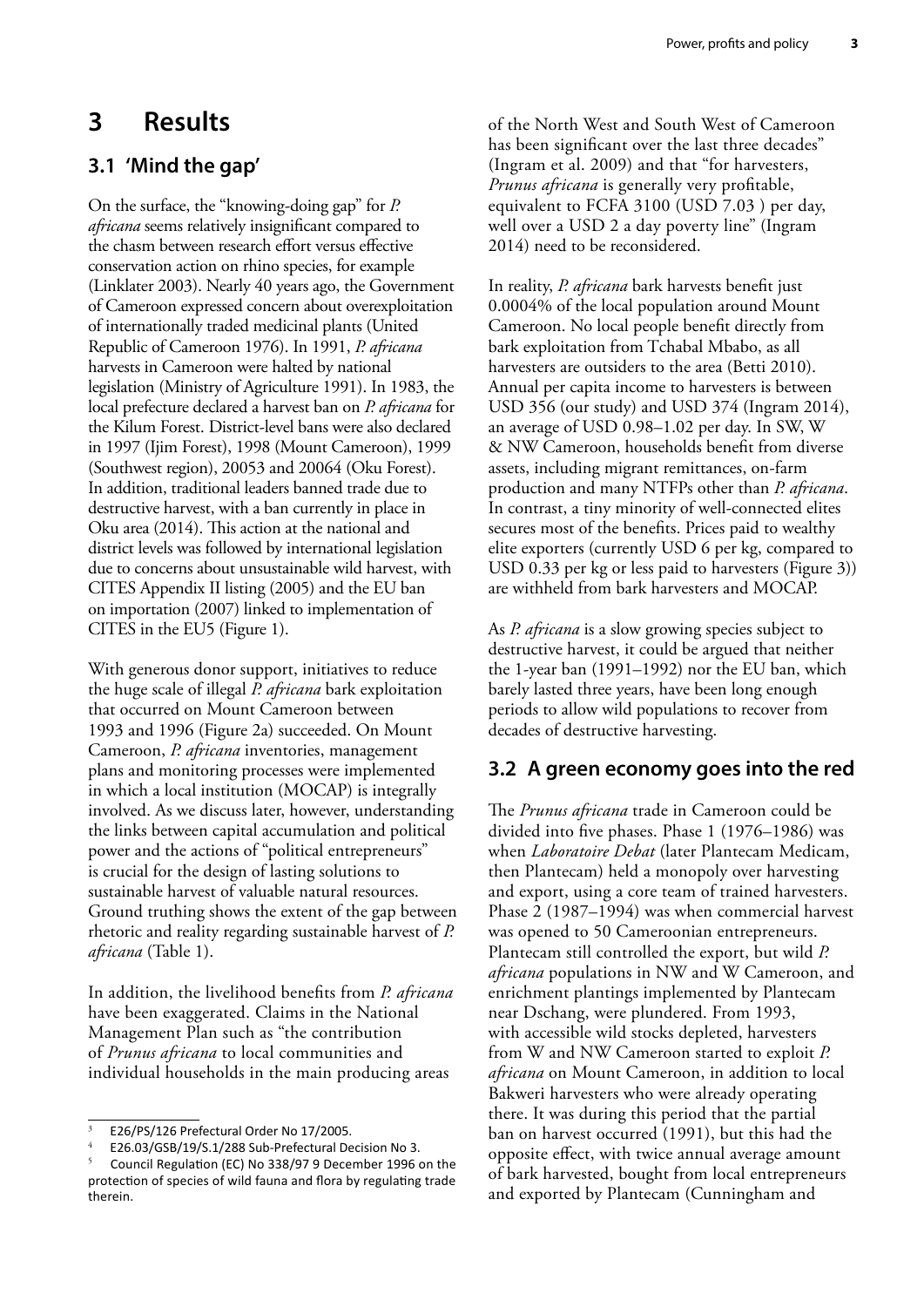### <span id="page-10-0"></span>**3 Results**

### **3.1 'Mind the gap'**

On the surface, the "knowing-doing gap" for *P. africana* seems relatively insignificant compared to the chasm between research effort versus effective conservation action on rhino species, for example (Linklater 2003). Nearly 40 years ago, the Government of Cameroon expressed concern about overexploitation of internationally traded medicinal plants (United Republic of Cameroon 1976). In 1991, *P. africana* harvests in Cameroon were halted by national legislation (Ministry of Agriculture 1991). In 1983, the local prefecture declared a harvest ban on *P. africana* for the Kilum Forest. District-level bans were also declared in 1997 (Ijim Forest), 1998 (Mount Cameroon), 1999 (Southwest region), 20053 and 20064 (Oku Forest). In addition, traditional leaders banned trade due to destructive harvest, with a ban currently in place in Oku area (2014). This action at the national and district levels was followed by international legislation due to concerns about unsustainable wild harvest, with CITES Appendix II listing (2005) and the EU ban on importation (2007) linked to implementation of CITES in the EU5 (Figure 1).

With generous donor support, initiatives to reduce the huge scale of illegal *P. africana* bark exploitation that occurred on Mount Cameroon between 1993 and 1996 (Figure 2a) succeeded. On Mount Cameroon, *P. africana* inventories, management plans and monitoring processes were implemented in which a local institution (MOCAP) is integrally involved. As we discuss later, however, understanding the links between capital accumulation and political power and the actions of "political entrepreneurs" is crucial for the design of lasting solutions to sustainable harvest of valuable natural resources. Ground truthing shows the extent of the gap between rhetoric and reality regarding sustainable harvest of *P. africana* (Table 1).

In addition, the livelihood benefits from *P. africana* have been exaggerated. Claims in the National Management Plan such as "the contribution of *Prunus africana* to local communities and individual households in the main producing areas

of the North West and South West of Cameroon has been significant over the last three decades" (Ingram et al. 2009) and that "for harvesters, *Prunus africana* is generally very profitable, equivalent to FCFA 3100 (USD 7.03 ) per day, well over a USD 2 a day poverty line" (Ingram 2014) need to be reconsidered.

In reality, *P. africana* bark harvests benefit just 0.0004% of the local population around Mount Cameroon. No local people benefit directly from bark exploitation from Tchabal Mbabo, as all harvesters are outsiders to the area (Betti 2010). Annual per capita income to harvesters is between USD 356 (our study) and USD 374 (Ingram 2014), an average of USD 0.98–1.02 per day. In SW, W & NW Cameroon, households benefit from diverse assets, including migrant remittances, on-farm production and many NTFPs other than *P. africana*. In contrast, a tiny minority of well-connected elites secures most of the benefits. Prices paid to wealthy elite exporters (currently USD 6 per kg, compared to USD 0.33 per kg or less paid to harvesters (Figure 3)) are withheld from bark harvesters and MOCAP.

As *P. africana* is a slow growing species subject to destructive harvest, it could be argued that neither the 1-year ban (1991–1992) nor the EU ban, which barely lasted three years, have been long enough periods to allow wild populations to recover from decades of destructive harvesting.

#### **3.2 A green economy goes into the red**

The *Prunus africana* trade in Cameroon could be divided into five phases. Phase 1 (1976–1986) was when *Laboratoire Debat* (later Plantecam Medicam, then Plantecam) held a monopoly over harvesting and export, using a core team of trained harvesters. Phase 2 (1987–1994) was when commercial harvest was opened to 50 Cameroonian entrepreneurs. Plantecam still controlled the export, but wild *P. africana* populations in NW and W Cameroon, and enrichment plantings implemented by Plantecam near Dschang, were plundered. From 1993, with accessible wild stocks depleted, harvesters from W and NW Cameroon started to exploit *P. africana* on Mount Cameroon, in addition to local Bakweri harvesters who were already operating there. It was during this period that the partial ban on harvest occurred (1991), but this had the opposite effect, with twice annual average amount of bark harvested, bought from local entrepreneurs and exported by Plantecam (Cunningham and

<sup>3</sup> E26/PS/126 Prefectural Order No 17/2005.

E26.03/GSB/19/S.1/288 Sub-Prefectural Decision No 3.

<sup>5</sup> Council Regulation (EC) No 338/97 9 December 1996 on the protection of species of wild fauna and flora by regulating trade therein.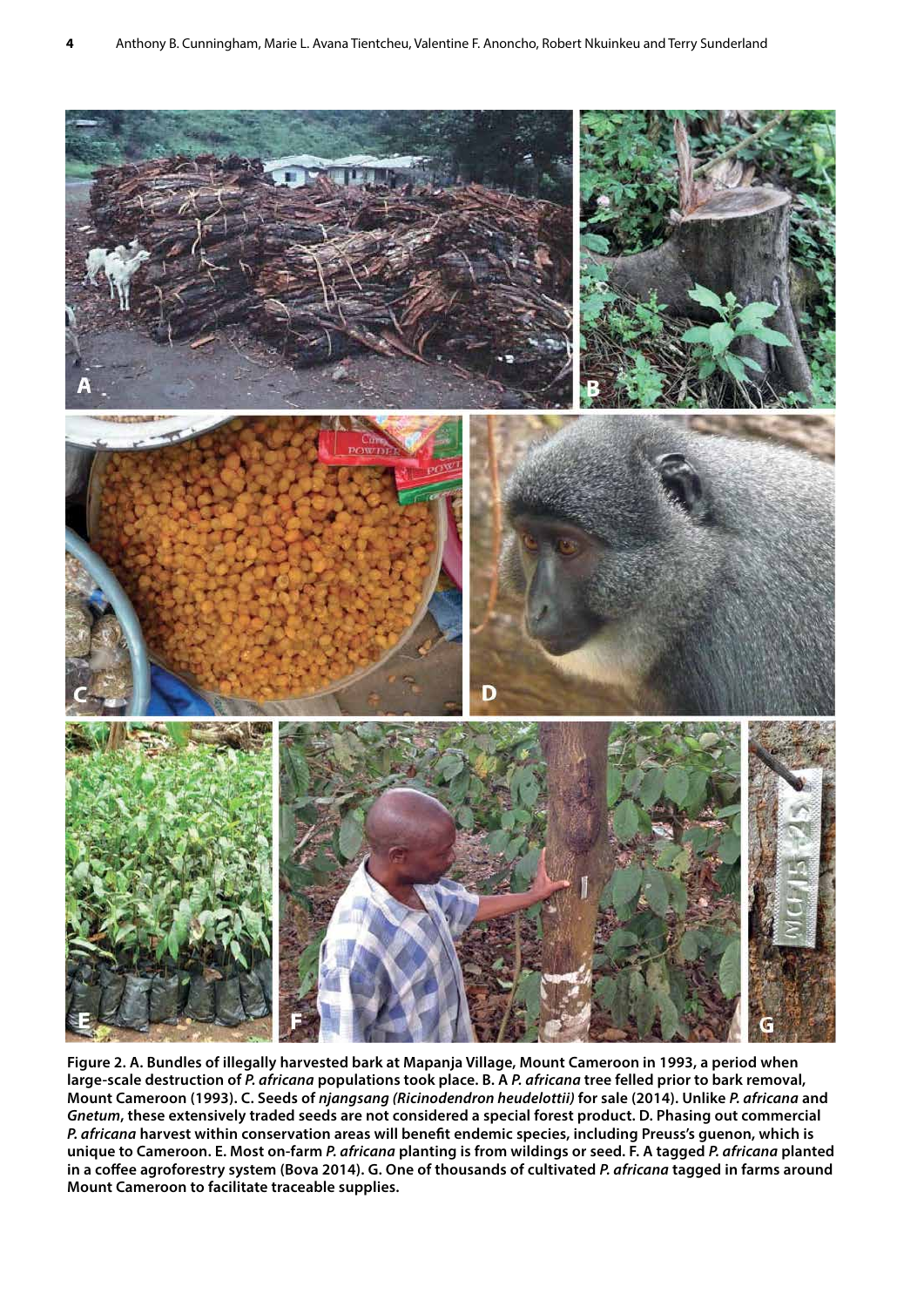

**Figure 2. A. Bundles of illegally harvested bark at Mapanja Village, Mount Cameroon in 1993, a period when large-scale destruction of** *P. africana* **populations took place. B. A** *P. africana* **tree felled prior to bark removal, Mount Cameroon (1993). C. Seeds of** *njangsang (Ricinodendron heudelottii)* **for sale (2014). Unlike** *P. africana* **and**  *Gnetum***, these extensively traded seeds are not considered a special forest product. D. Phasing out commercial**  *P. africana* **harvest within conservation areas will benefit endemic species, including Preuss's guenon, which is unique to Cameroon. E. Most on-farm** *P. africana* **planting is from wildings or seed. F. A tagged** *P. africana* **planted in a coffee agroforestry system (Bova 2014). G. One of thousands of cultivated** *P. africana* **tagged in farms around Mount Cameroon to facilitate traceable supplies.**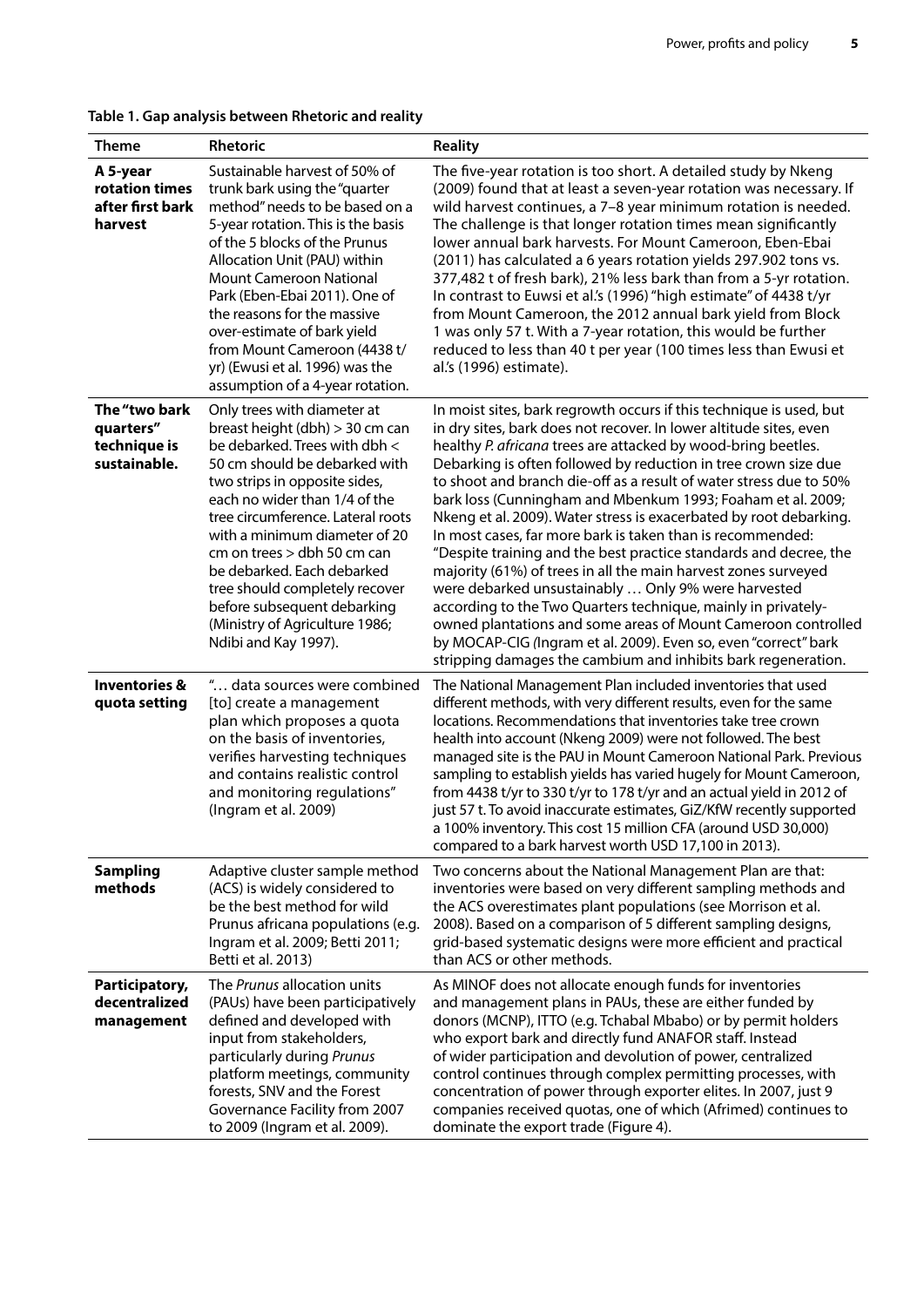| Table 1. Gap analysis between Rhetoric and reality |  |  |  |
|----------------------------------------------------|--|--|--|
|----------------------------------------------------|--|--|--|

| <b>Theme</b>                                               | Rhetoric                                                                                                                                                                                                                                                                                                                                                                                                                                                         | <b>Reality</b>                                                                                                                                                                                                                                                                                                                                                                                                                                                                                                                                                                                                                                                                                                                                                                                                                                                                                                                                                                                                             |
|------------------------------------------------------------|------------------------------------------------------------------------------------------------------------------------------------------------------------------------------------------------------------------------------------------------------------------------------------------------------------------------------------------------------------------------------------------------------------------------------------------------------------------|----------------------------------------------------------------------------------------------------------------------------------------------------------------------------------------------------------------------------------------------------------------------------------------------------------------------------------------------------------------------------------------------------------------------------------------------------------------------------------------------------------------------------------------------------------------------------------------------------------------------------------------------------------------------------------------------------------------------------------------------------------------------------------------------------------------------------------------------------------------------------------------------------------------------------------------------------------------------------------------------------------------------------|
| A 5-year<br>rotation times<br>after first bark<br>harvest  | Sustainable harvest of 50% of<br>trunk bark using the "quarter<br>method" needs to be based on a<br>5-year rotation. This is the basis<br>of the 5 blocks of the Prunus<br>Allocation Unit (PAU) within<br><b>Mount Cameroon National</b><br>Park (Eben-Ebai 2011). One of<br>the reasons for the massive<br>over-estimate of bark yield<br>from Mount Cameroon (4438 t/<br>yr) (Ewusi et al. 1996) was the<br>assumption of a 4-year rotation.                  | The five-year rotation is too short. A detailed study by Nkeng<br>(2009) found that at least a seven-year rotation was necessary. If<br>wild harvest continues, a 7-8 year minimum rotation is needed.<br>The challenge is that longer rotation times mean significantly<br>lower annual bark harvests. For Mount Cameroon, Eben-Ebai<br>(2011) has calculated a 6 years rotation yields 297.902 tons vs.<br>377,482 t of fresh bark), 21% less bark than from a 5-yr rotation.<br>In contrast to Euwsi et al.'s (1996) "high estimate" of 4438 t/yr<br>from Mount Cameroon, the 2012 annual bark yield from Block<br>1 was only 57 t. With a 7-year rotation, this would be further<br>reduced to less than 40 t per year (100 times less than Ewusi et<br>al.'s (1996) estimate).                                                                                                                                                                                                                                        |
| The "two bark<br>quarters"<br>technique is<br>sustainable. | Only trees with diameter at<br>breast height (dbh) > 30 cm can<br>be debarked. Trees with dbh <<br>50 cm should be debarked with<br>two strips in opposite sides,<br>each no wider than 1/4 of the<br>tree circumference. Lateral roots<br>with a minimum diameter of 20<br>cm on trees > dbh 50 cm can<br>be debarked. Each debarked<br>tree should completely recover<br>before subsequent debarking<br>(Ministry of Agriculture 1986;<br>Ndibi and Kay 1997). | In moist sites, bark regrowth occurs if this technique is used, but<br>in dry sites, bark does not recover. In lower altitude sites, even<br>healthy P. africana trees are attacked by wood-bring beetles.<br>Debarking is often followed by reduction in tree crown size due<br>to shoot and branch die-off as a result of water stress due to 50%<br>bark loss (Cunningham and Mbenkum 1993; Foaham et al. 2009;<br>Nkeng et al. 2009). Water stress is exacerbated by root debarking.<br>In most cases, far more bark is taken than is recommended:<br>"Despite training and the best practice standards and decree, the<br>majority (61%) of trees in all the main harvest zones surveyed<br>were debarked unsustainably  Only 9% were harvested<br>according to the Two Quarters technique, mainly in privately-<br>owned plantations and some areas of Mount Cameroon controlled<br>by MOCAP-CIG (Ingram et al. 2009). Even so, even "correct" bark<br>stripping damages the cambium and inhibits bark regeneration. |
| <b>Inventories &amp;</b><br>quota setting                  | " data sources were combined<br>[to] create a management<br>plan which proposes a quota<br>on the basis of inventories,<br>verifies harvesting techniques<br>and contains realistic control<br>and monitoring regulations"<br>(Ingram et al. 2009)                                                                                                                                                                                                               | The National Management Plan included inventories that used<br>different methods, with very different results, even for the same<br>locations. Recommendations that inventories take tree crown<br>health into account (Nkeng 2009) were not followed. The best<br>managed site is the PAU in Mount Cameroon National Park. Previous<br>sampling to establish yields has varied hugely for Mount Cameroon,<br>from 4438 t/yr to 330 t/yr to 178 t/yr and an actual yield in 2012 of<br>just 57 t. To avoid inaccurate estimates, GiZ/KfW recently supported<br>a 100% inventory. This cost 15 million CFA (around USD 30,000)<br>compared to a bark harvest worth USD 17,100 in 2013).                                                                                                                                                                                                                                                                                                                                     |
| <b>Sampling</b><br>methods                                 | Adaptive cluster sample method<br>(ACS) is widely considered to<br>be the best method for wild<br>Prunus africana populations (e.g.<br>Ingram et al. 2009; Betti 2011;<br>Betti et al. 2013)                                                                                                                                                                                                                                                                     | Two concerns about the National Management Plan are that:<br>inventories were based on very different sampling methods and<br>the ACS overestimates plant populations (see Morrison et al.<br>2008). Based on a comparison of 5 different sampling designs,<br>grid-based systematic designs were more efficient and practical<br>than ACS or other methods.                                                                                                                                                                                                                                                                                                                                                                                                                                                                                                                                                                                                                                                               |
| Participatory,<br>decentralized<br>management              | The Prunus allocation units<br>(PAUs) have been participatively<br>defined and developed with<br>input from stakeholders,<br>particularly during Prunus<br>platform meetings, community<br>forests, SNV and the Forest<br>Governance Facility from 2007<br>to 2009 (Ingram et al. 2009).                                                                                                                                                                         | As MINOF does not allocate enough funds for inventories<br>and management plans in PAUs, these are either funded by<br>donors (MCNP), ITTO (e.g. Tchabal Mbabo) or by permit holders<br>who export bark and directly fund ANAFOR staff. Instead<br>of wider participation and devolution of power, centralized<br>control continues through complex permitting processes, with<br>concentration of power through exporter elites. In 2007, just 9<br>companies received quotas, one of which (Afrimed) continues to<br>dominate the export trade (Figure 4).                                                                                                                                                                                                                                                                                                                                                                                                                                                               |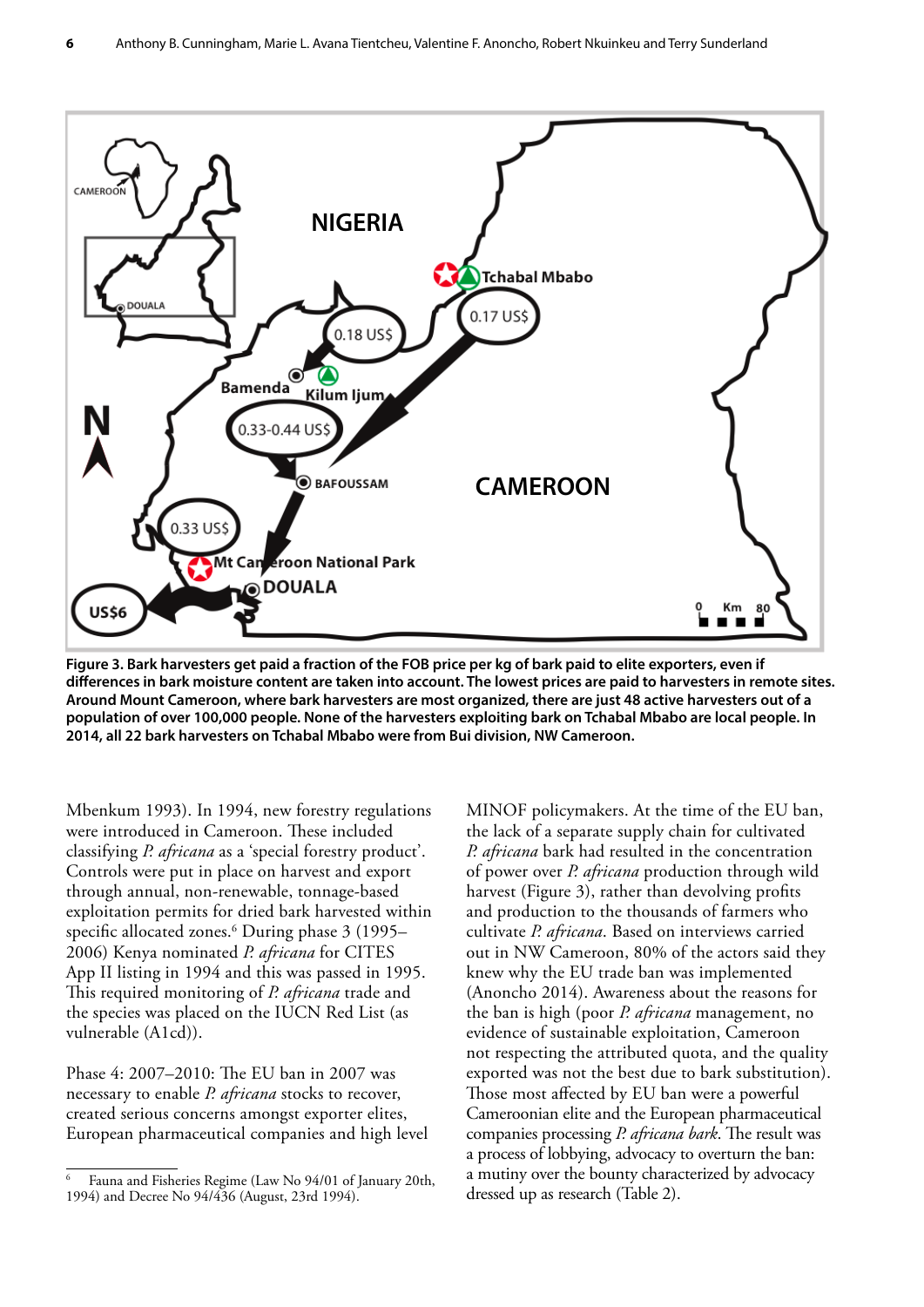

**Figure 3. Bark harvesters get paid a fraction of the FOB price per kg of bark paid to elite exporters, even if differences in bark moisture content are taken into account. The lowest prices are paid to harvesters in remote sites. Around Mount Cameroon, where bark harvesters are most organized, there are just 48 active harvesters out of a population of over 100,000 people. None of the harvesters exploiting bark on Tchabal Mbabo are local people. In 2014, all 22 bark harvesters on Tchabal Mbabo were from Bui division, NW Cameroon.**

Mbenkum 1993). In 1994, new forestry regulations were introduced in Cameroon. These included classifying *P. africana* as a 'special forestry product'. Controls were put in place on harvest and export through annual, non-renewable, tonnage-based exploitation permits for dried bark harvested within specific allocated zones.6 During phase 3 (1995– 2006) Kenya nominated *P. africana* for CITES App II listing in 1994 and this was passed in 1995. This required monitoring of *P. africana* trade and the species was placed on the IUCN Red List (as vulnerable (A1cd)).

Phase 4: 2007–2010: The EU ban in 2007 was necessary to enable *P. africana* stocks to recover, created serious concerns amongst exporter elites, European pharmaceutical companies and high level

MINOF policymakers. At the time of the EU ban, the lack of a separate supply chain for cultivated *P. africana* bark had resulted in the concentration of power over *P. africana* production through wild harvest (Figure 3), rather than devolving profits and production to the thousands of farmers who cultivate *P. africana*. Based on interviews carried out in NW Cameroon, 80% of the actors said they knew why the EU trade ban was implemented (Anoncho 2014). Awareness about the reasons for the ban is high (poor *P. africana* management, no evidence of sustainable exploitation, Cameroon not respecting the attributed quota, and the quality exported was not the best due to bark substitution). Those most affected by EU ban were a powerful Cameroonian elite and the European pharmaceutical companies processing *P. africana bark*. The result was a process of lobbying, advocacy to overturn the ban: a mutiny over the bounty characterized by advocacy dressed up as research (Table 2).

<sup>6</sup> Fauna and Fisheries Regime (Law No 94/01 of January 20th, 1994) and Decree No 94/436 (August, 23rd 1994).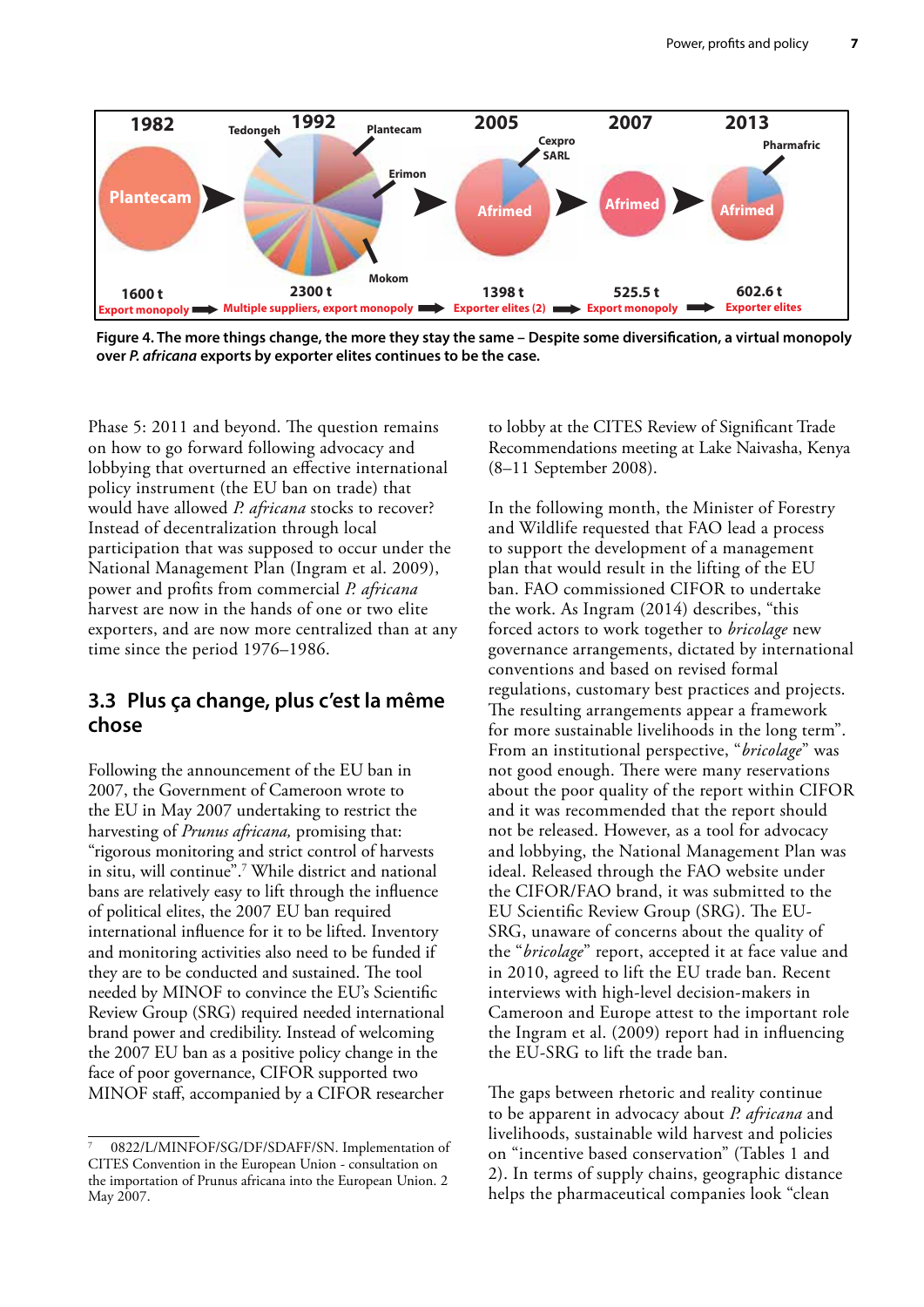<span id="page-14-0"></span>

**Figure 4. The more things change, the more they stay the same – Despite some diversification, a virtual monopoly over** *P. africana* **exports by exporter elites continues to be the case.**

Phase 5: 2011 and beyond. The question remains on how to go forward following advocacy and lobbying that overturned an effective international policy instrument (the EU ban on trade) that would have allowed *P. africana* stocks to recover? Instead of decentralization through local participation that was supposed to occur under the National Management Plan (Ingram et al. 2009), power and profits from commercial *P. africana* harvest are now in the hands of one or two elite exporters, and are now more centralized than at any time since the period 1976–1986.

#### **3.3 Plus ça change, plus c'est la même chose**

Following the announcement of the EU ban in 2007, the Government of Cameroon wrote to the EU in May 2007 undertaking to restrict the harvesting of *Prunus africana,* promising that: "rigorous monitoring and strict control of harvests in situ, will continue".7 While district and national bans are relatively easy to lift through the influence of political elites, the 2007 EU ban required international influence for it to be lifted. Inventory and monitoring activities also need to be funded if they are to be conducted and sustained. The tool needed by MINOF to convince the EU's Scientific Review Group (SRG) required needed international brand power and credibility. Instead of welcoming the 2007 EU ban as a positive policy change in the face of poor governance, CIFOR supported two MINOF staff, accompanied by a CIFOR researcher to lobby at the CITES Review of Significant Trade Recommendations meeting at Lake Naivasha, Kenya (8–11 September 2008).

In the following month, the Minister of Forestry and Wildlife requested that FAO lead a process to support the development of a management plan that would result in the lifting of the EU ban. FAO commissioned CIFOR to undertake the work. As Ingram (2014) describes, "this forced actors to work together to *bricolage* new governance arrangements, dictated by international conventions and based on revised formal regulations, customary best practices and projects. The resulting arrangements appear a framework for more sustainable livelihoods in the long term". From an institutional perspective, "*bricolage*" was not good enough. There were many reservations about the poor quality of the report within CIFOR and it was recommended that the report should not be released. However, as a tool for advocacy and lobbying, the National Management Plan was ideal. Released through the FAO website under the CIFOR/FAO brand, it was submitted to the EU Scientific Review Group (SRG). The EU-SRG, unaware of concerns about the quality of the "*bricolage*" report, accepted it at face value and in 2010, agreed to lift the EU trade ban. Recent interviews with high-level decision-makers in Cameroon and Europe attest to the important role the Ingram et al. (2009) report had in influencing the EU-SRG to lift the trade ban.

The gaps between rhetoric and reality continue to be apparent in advocacy about *P. africana* and livelihoods, sustainable wild harvest and policies on "incentive based conservation" (Tables 1 and 2). In terms of supply chains, geographic distance helps the pharmaceutical companies look "clean

<sup>0822/</sup>L/MINFOF/SG/DF/SDAFF/SN. Implementation of CITES Convention in the European Union - consultation on the importation of Prunus africana into the European Union. 2 May 2007.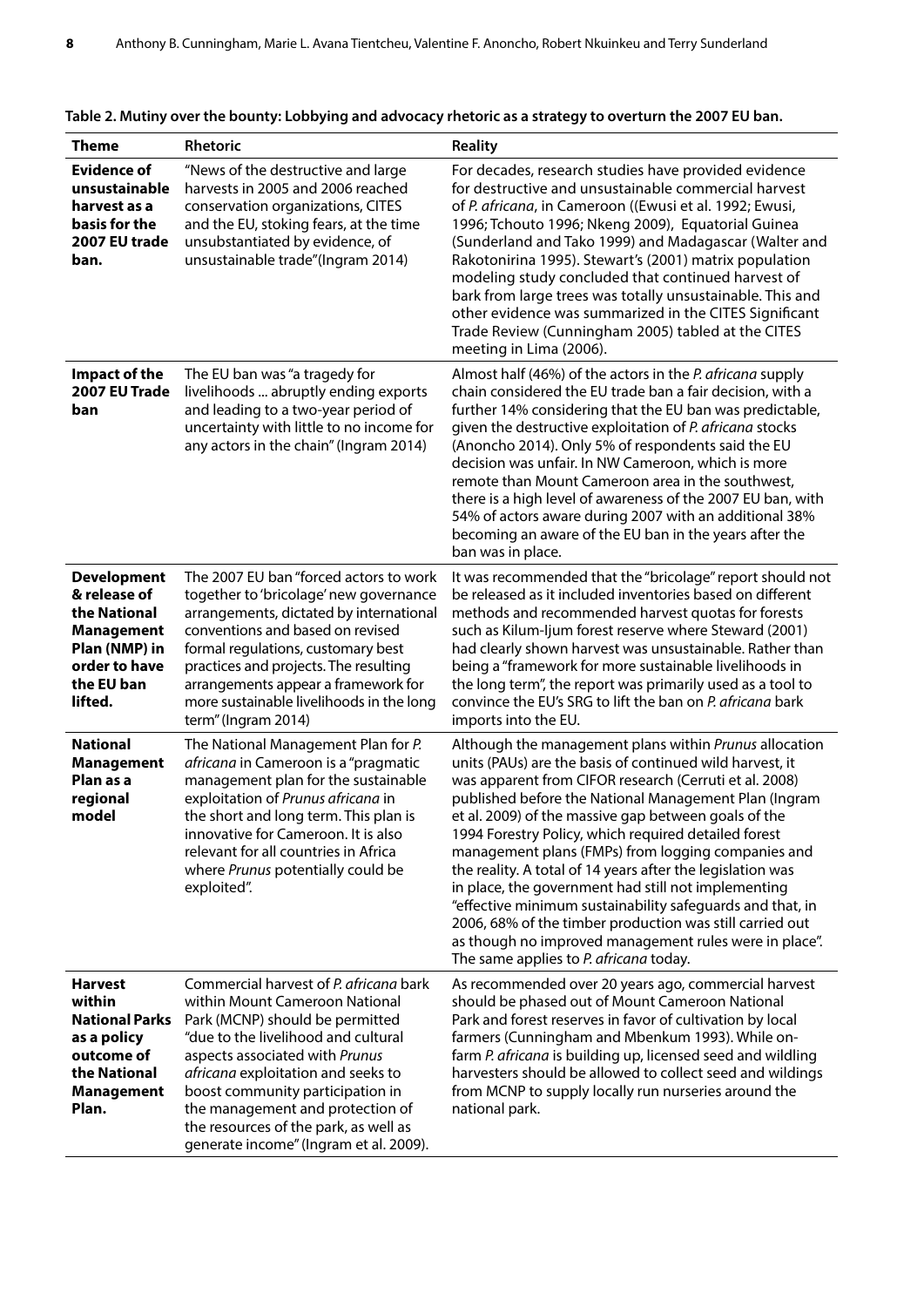| <b>Theme</b>                                                                                                                       | Rhetoric                                                                                                                                                                                                                                                                                                                                                                              | <b>Reality</b>                                                                                                                                                                                                                                                                                                                                                                                                                                                                                                                                                                                                                                                                                                                                                |
|------------------------------------------------------------------------------------------------------------------------------------|---------------------------------------------------------------------------------------------------------------------------------------------------------------------------------------------------------------------------------------------------------------------------------------------------------------------------------------------------------------------------------------|---------------------------------------------------------------------------------------------------------------------------------------------------------------------------------------------------------------------------------------------------------------------------------------------------------------------------------------------------------------------------------------------------------------------------------------------------------------------------------------------------------------------------------------------------------------------------------------------------------------------------------------------------------------------------------------------------------------------------------------------------------------|
| <b>Evidence of</b><br>unsustainable<br>harvest as a<br>basis for the<br>2007 EU trade<br>ban.                                      | "News of the destructive and large<br>harvests in 2005 and 2006 reached<br>conservation organizations, CITES<br>and the EU, stoking fears, at the time<br>unsubstantiated by evidence, of<br>unsustainable trade"(Ingram 2014)                                                                                                                                                        | For decades, research studies have provided evidence<br>for destructive and unsustainable commercial harvest<br>of P. africana, in Cameroon ((Ewusi et al. 1992; Ewusi,<br>1996; Tchouto 1996; Nkeng 2009), Equatorial Guinea<br>(Sunderland and Tako 1999) and Madagascar (Walter and<br>Rakotonirina 1995). Stewart's (2001) matrix population<br>modeling study concluded that continued harvest of<br>bark from large trees was totally unsustainable. This and<br>other evidence was summarized in the CITES Significant<br>Trade Review (Cunningham 2005) tabled at the CITES<br>meeting in Lima (2006).                                                                                                                                                |
| Impact of the<br>2007 EU Trade<br>ban                                                                                              | The EU ban was "a tragedy for<br>livelihoods  abruptly ending exports<br>and leading to a two-year period of<br>uncertainty with little to no income for<br>any actors in the chain" (Ingram 2014)                                                                                                                                                                                    | Almost half (46%) of the actors in the P. africana supply<br>chain considered the EU trade ban a fair decision, with a<br>further 14% considering that the EU ban was predictable,<br>given the destructive exploitation of P. africana stocks<br>(Anoncho 2014). Only 5% of respondents said the EU<br>decision was unfair. In NW Cameroon, which is more<br>remote than Mount Cameroon area in the southwest,<br>there is a high level of awareness of the 2007 EU ban, with<br>54% of actors aware during 2007 with an additional 38%<br>becoming an aware of the EU ban in the years after the<br>ban was in place.                                                                                                                                       |
| <b>Development</b><br>& release of<br>the National<br><b>Management</b><br>Plan (NMP) in<br>order to have<br>the EU ban<br>lifted. | The 2007 EU ban "forced actors to work<br>together to 'bricolage' new governance<br>arrangements, dictated by international<br>conventions and based on revised<br>formal regulations, customary best<br>practices and projects. The resulting<br>arrangements appear a framework for<br>more sustainable livelihoods in the long<br>term" (Ingram 2014)                              | It was recommended that the "bricolage" report should not<br>be released as it included inventories based on different<br>methods and recommended harvest quotas for forests<br>such as Kilum-Ijum forest reserve where Steward (2001)<br>had clearly shown harvest was unsustainable. Rather than<br>being a "framework for more sustainable livelihoods in<br>the long term", the report was primarily used as a tool to<br>convince the EU's SRG to lift the ban on P. africana bark<br>imports into the EU.                                                                                                                                                                                                                                               |
| <b>National</b><br><b>Management</b><br>Plan as a<br>regional<br>model                                                             | The National Management Plan for P.<br>africana in Cameroon is a "pragmatic<br>management plan for the sustainable<br>exploitation of Prunus africana in<br>the short and long term. This plan is<br>innovative for Cameroon. It is also<br>relevant for all countries in Africa<br>where Prunus potentially could be<br>exploited".                                                  | Although the management plans within Prunus allocation<br>units (PAUs) are the basis of continued wild harvest, it<br>was apparent from CIFOR research (Cerruti et al. 2008)<br>published before the National Management Plan (Ingram<br>et al. 2009) of the massive gap between goals of the<br>1994 Forestry Policy, which required detailed forest<br>management plans (FMPs) from logging companies and<br>the reality. A total of 14 years after the legislation was<br>in place, the government had still not implementing<br>"effective minimum sustainability safeguards and that, in<br>2006, 68% of the timber production was still carried out<br>as though no improved management rules were in place".<br>The same applies to P. africana today. |
| <b>Harvest</b><br>within<br><b>National Parks</b><br>as a policy<br>outcome of<br>the National<br><b>Management</b><br>Plan.       | Commercial harvest of P. africana bark<br>within Mount Cameroon National<br>Park (MCNP) should be permitted<br>"due to the livelihood and cultural<br>aspects associated with Prunus<br>africana exploitation and seeks to<br>boost community participation in<br>the management and protection of<br>the resources of the park, as well as<br>generate income" (Ingram et al. 2009). | As recommended over 20 years ago, commercial harvest<br>should be phased out of Mount Cameroon National<br>Park and forest reserves in favor of cultivation by local<br>farmers (Cunningham and Mbenkum 1993). While on-<br>farm P. africana is building up, licensed seed and wildling<br>harvesters should be allowed to collect seed and wildings<br>from MCNP to supply locally run nurseries around the<br>national park.                                                                                                                                                                                                                                                                                                                                |

#### **Table 2. Mutiny over the bounty: Lobbying and advocacy rhetoric as a strategy to overturn the 2007 EU ban.**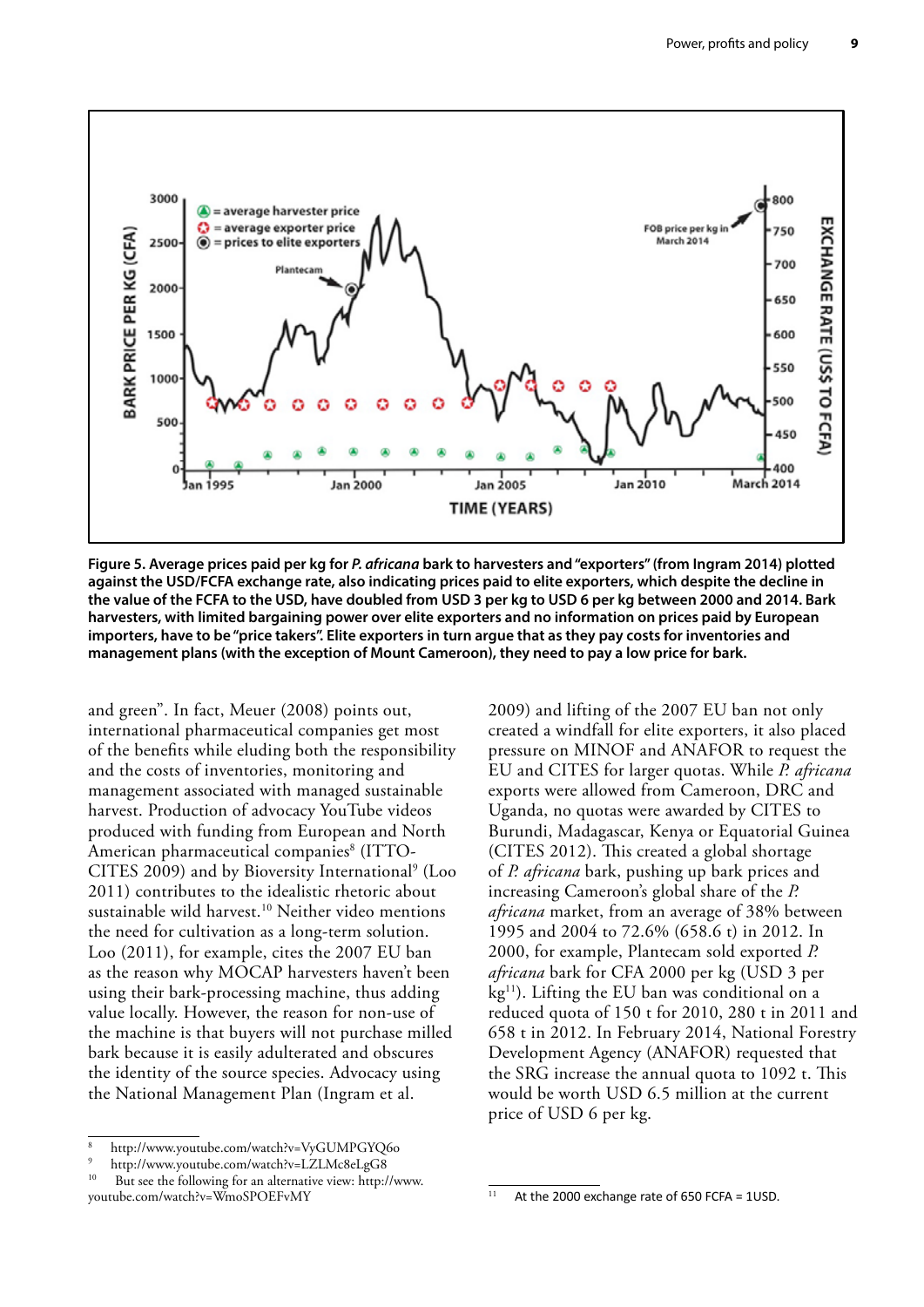

**Figure 5. Average prices paid per kg for** *P. africana* **bark to harvesters and "exporters" (from Ingram 2014) plotted against the USD/FCFA exchange rate, also indicating prices paid to elite exporters, which despite the decline in the value of the FCFA to the USD, have doubled from USD 3 per kg to USD 6 per kg between 2000 and 2014. Bark harvesters, with limited bargaining power over elite exporters and no information on prices paid by European importers, have to be "price takers". Elite exporters in turn argue that as they pay costs for inventories and management plans (with the exception of Mount Cameroon), they need to pay a low price for bark.** 

and green". In fact, Meuer (2008) points out, international pharmaceutical companies get most of the benefits while eluding both the responsibility and the costs of inventories, monitoring and management associated with managed sustainable harvest. Production of advocacy YouTube videos produced with funding from European and North American pharmaceutical companies<sup>8</sup> (ITTO-CITES 2009) and by Bioversity International<sup>9</sup> (Loo 2011) contributes to the idealistic rhetoric about sustainable wild harvest.<sup>10</sup> Neither video mentions the need for cultivation as a long-term solution. Loo (2011), for example, cites the 2007 EU ban as the reason why MOCAP harvesters haven't been using their bark-processing machine, thus adding value locally. However, the reason for non-use of the machine is that buyers will not purchase milled bark because it is easily adulterated and obscures the identity of the source species. Advocacy using the National Management Plan (Ingram et al.

2009) and lifting of the 2007 EU ban not only created a windfall for elite exporters, it also placed pressure on MINOF and ANAFOR to request the EU and CITES for larger quotas. While *P. africana* exports were allowed from Cameroon, DRC and Uganda, no quotas were awarded by CITES to Burundi, Madagascar, Kenya or Equatorial Guinea (CITES 2012). This created a global shortage of *P. africana* bark, pushing up bark prices and increasing Cameroon's global share of the *P. africana* market, from an average of 38% between 1995 and 2004 to 72.6% (658.6 t) in 2012. In 2000, for example, Plantecam sold exported *P. africana* bark for CFA 2000 per kg (USD 3 per kg<sup>11</sup>). Lifting the EU ban was conditional on a reduced quota of 150 t for 2010, 280 t in 2011 and 658 t in 2012. In February 2014, National Forestry Development Agency (ANAFOR) requested that the SRG increase the annual quota to 1092 t. This would be worth USD 6.5 million at the current price of USD 6 per kg.

<sup>8</sup> http://www.youtube.com/watch?v=VyGUMPGYQ6o

<sup>&</sup>lt;sup>9</sup> http://www.youtube.com/watch?v=LZLMc8eLgG8<br><sup>10</sup> But see the following for an elternative view http:/

But see the following for an alternative view: http://www. youtube.com/watch?v=WmoSPOEFvMY

At the 2000 exchange rate of 650 FCFA =  $1$ USD.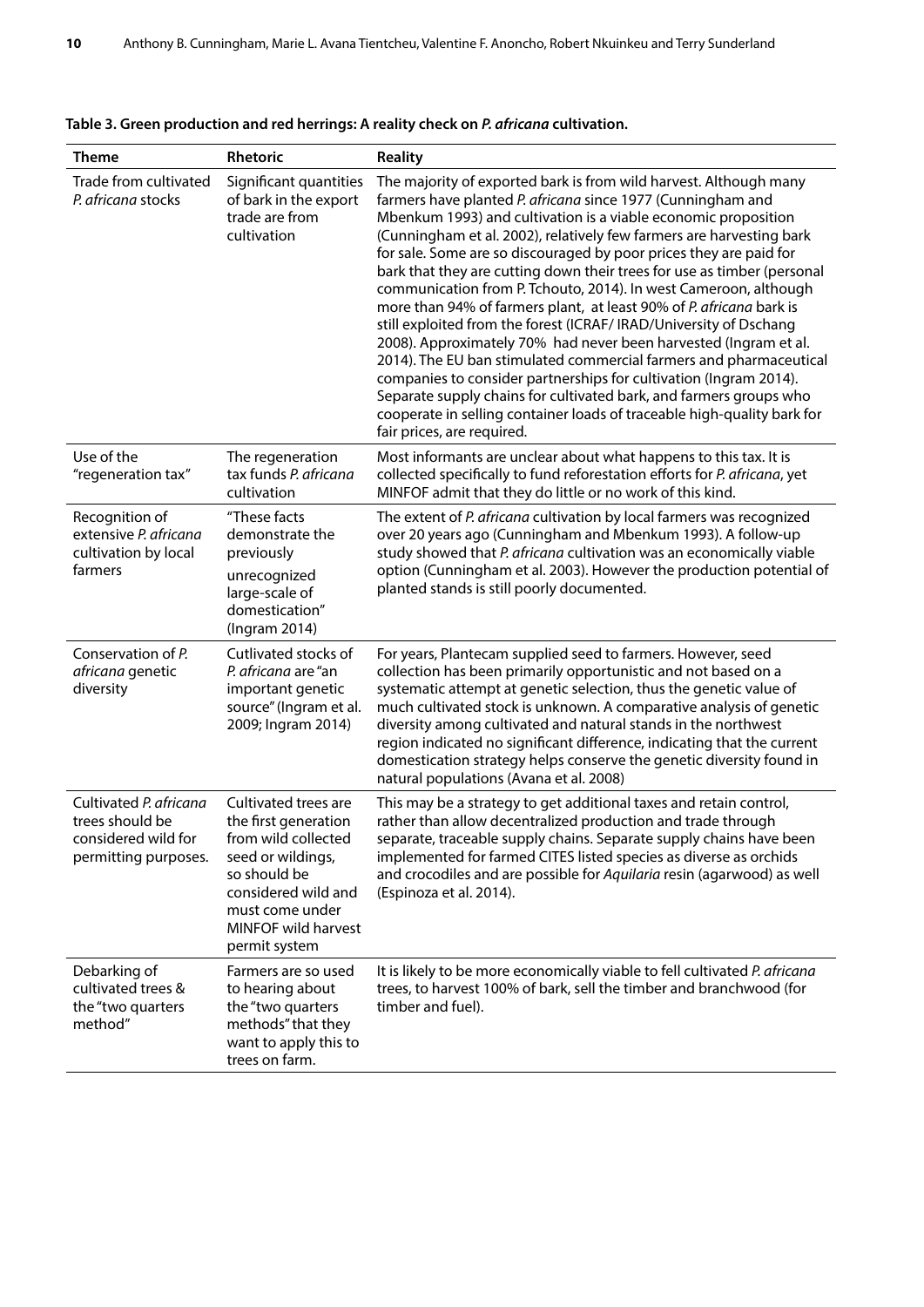| <b>Theme</b>                                                                             | Rhetoric                                                                                                                                                                                   | <b>Reality</b>                                                                                                                                                                                                                                                                                                                                                                                                                                                                                                                                                                                                                                                                                                                                                                                                                                                                                                                                                                                                                            |
|------------------------------------------------------------------------------------------|--------------------------------------------------------------------------------------------------------------------------------------------------------------------------------------------|-------------------------------------------------------------------------------------------------------------------------------------------------------------------------------------------------------------------------------------------------------------------------------------------------------------------------------------------------------------------------------------------------------------------------------------------------------------------------------------------------------------------------------------------------------------------------------------------------------------------------------------------------------------------------------------------------------------------------------------------------------------------------------------------------------------------------------------------------------------------------------------------------------------------------------------------------------------------------------------------------------------------------------------------|
| Trade from cultivated<br>P. africana stocks                                              | Significant quantities<br>of bark in the export<br>trade are from<br>cultivation                                                                                                           | The majority of exported bark is from wild harvest. Although many<br>farmers have planted P. africana since 1977 (Cunningham and<br>Mbenkum 1993) and cultivation is a viable economic proposition<br>(Cunningham et al. 2002), relatively few farmers are harvesting bark<br>for sale. Some are so discouraged by poor prices they are paid for<br>bark that they are cutting down their trees for use as timber (personal<br>communication from P. Tchouto, 2014). In west Cameroon, although<br>more than 94% of farmers plant, at least 90% of P. africana bark is<br>still exploited from the forest (ICRAF/IRAD/University of Dschang<br>2008). Approximately 70% had never been harvested (Ingram et al.<br>2014). The EU ban stimulated commercial farmers and pharmaceutical<br>companies to consider partnerships for cultivation (Ingram 2014).<br>Separate supply chains for cultivated bark, and farmers groups who<br>cooperate in selling container loads of traceable high-quality bark for<br>fair prices, are required. |
| Use of the<br>"regeneration tax"                                                         | The regeneration<br>tax funds P. africana<br>cultivation                                                                                                                                   | Most informants are unclear about what happens to this tax. It is<br>collected specifically to fund reforestation efforts for P. africana, yet<br>MINFOF admit that they do little or no work of this kind.                                                                                                                                                                                                                                                                                                                                                                                                                                                                                                                                                                                                                                                                                                                                                                                                                               |
| Recognition of<br>extensive P. africana<br>cultivation by local<br>farmers               | "These facts<br>demonstrate the<br>previously<br>unrecognized<br>large-scale of<br>domestication"<br>(Ingram 2014)                                                                         | The extent of P. africana cultivation by local farmers was recognized<br>over 20 years ago (Cunningham and Mbenkum 1993). A follow-up<br>study showed that P. africana cultivation was an economically viable<br>option (Cunningham et al. 2003). However the production potential of<br>planted stands is still poorly documented.                                                                                                                                                                                                                                                                                                                                                                                                                                                                                                                                                                                                                                                                                                       |
| Conservation of P.<br>africana genetic<br>diversity                                      | Cutlivated stocks of<br>P. africana are "an<br>important genetic<br>source" (Ingram et al.<br>2009; Ingram 2014)                                                                           | For years, Plantecam supplied seed to farmers. However, seed<br>collection has been primarily opportunistic and not based on a<br>systematic attempt at genetic selection, thus the genetic value of<br>much cultivated stock is unknown. A comparative analysis of genetic<br>diversity among cultivated and natural stands in the northwest<br>region indicated no significant difference, indicating that the current<br>domestication strategy helps conserve the genetic diversity found in<br>natural populations (Avana et al. 2008)                                                                                                                                                                                                                                                                                                                                                                                                                                                                                               |
| Cultivated P. africana<br>trees should be<br>considered wild for<br>permitting purposes. | Cultivated trees are<br>the first generation<br>from wild collected<br>seed or wildings,<br>so should be<br>considered wild and<br>must come under<br>MINFOF wild harvest<br>permit system | This may be a strategy to get additional taxes and retain control,<br>rather than allow decentralized production and trade through<br>separate, traceable supply chains. Separate supply chains have been<br>implemented for farmed CITES listed species as diverse as orchids<br>and crocodiles and are possible for Aquilaria resin (agarwood) as well<br>(Espinoza et al. 2014).                                                                                                                                                                                                                                                                                                                                                                                                                                                                                                                                                                                                                                                       |
| Debarking of<br>cultivated trees &<br>the "two quarters<br>method"                       | Farmers are so used<br>to hearing about<br>the "two quarters<br>methods" that they<br>want to apply this to<br>trees on farm.                                                              | It is likely to be more economically viable to fell cultivated P. africana<br>trees, to harvest 100% of bark, sell the timber and branchwood (for<br>timber and fuel).                                                                                                                                                                                                                                                                                                                                                                                                                                                                                                                                                                                                                                                                                                                                                                                                                                                                    |

|  | Table 3. Green production and red herrings: A reality check on P. africana cultivation. |  |  |
|--|-----------------------------------------------------------------------------------------|--|--|
|--|-----------------------------------------------------------------------------------------|--|--|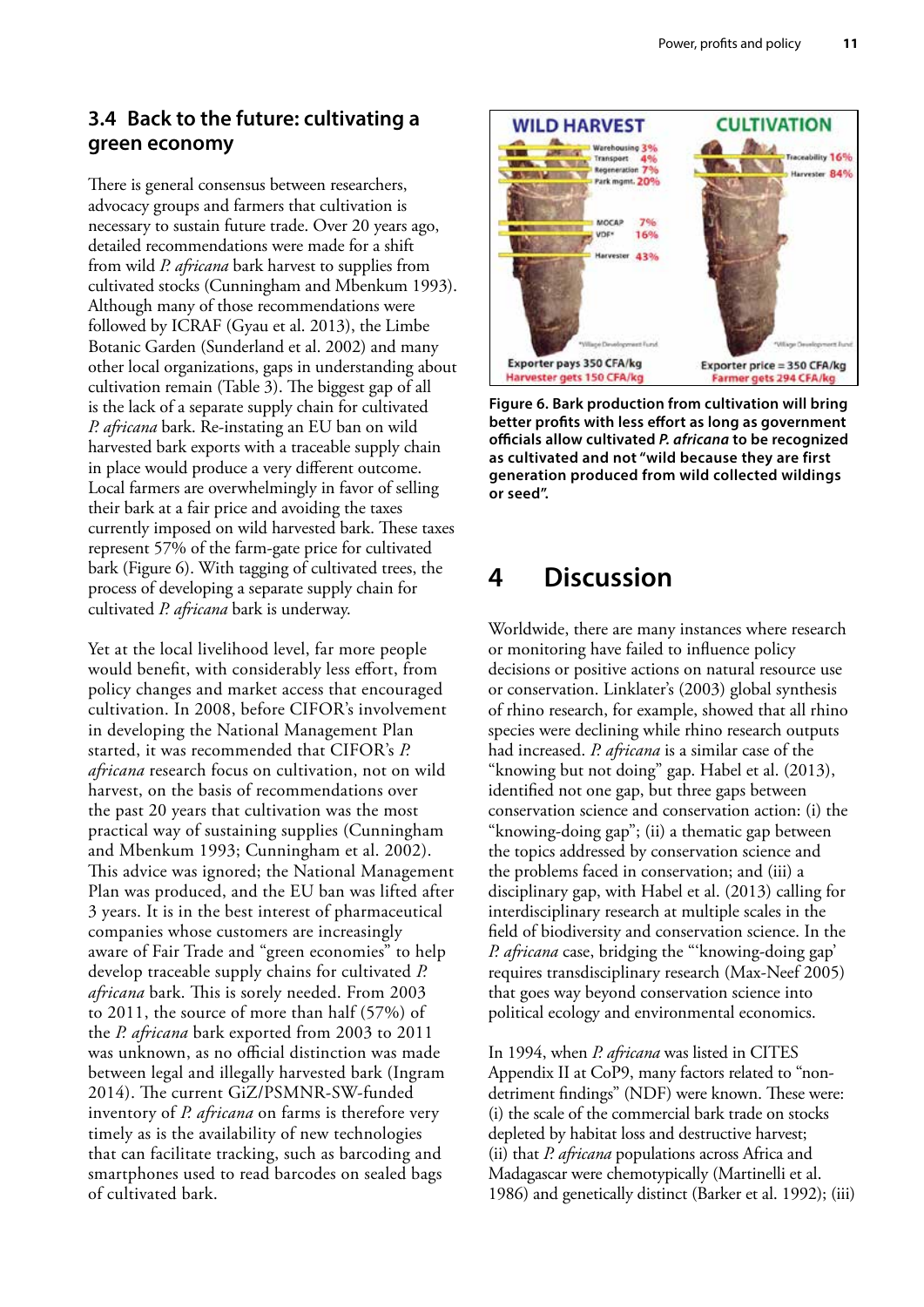#### <span id="page-18-0"></span>**3.4 Back to the future: cultivating a green economy**

There is general consensus between researchers, advocacy groups and farmers that cultivation is necessary to sustain future trade. Over 20 years ago, detailed recommendations were made for a shift from wild *P. africana* bark harvest to supplies from cultivated stocks (Cunningham and Mbenkum 1993). Although many of those recommendations were followed by ICRAF (Gyau et al. 2013), the Limbe Botanic Garden (Sunderland et al. 2002) and many other local organizations, gaps in understanding about cultivation remain (Table 3). The biggest gap of all is the lack of a separate supply chain for cultivated *P. africana* bark. Re-instating an EU ban on wild harvested bark exports with a traceable supply chain in place would produce a very different outcome. Local farmers are overwhelmingly in favor of selling their bark at a fair price and avoiding the taxes currently imposed on wild harvested bark. These taxes represent 57% of the farm-gate price for cultivated bark (Figure 6). With tagging of cultivated trees, the process of developing a separate supply chain for cultivated *P. africana* bark is underway.

Yet at the local livelihood level, far more people would benefit, with considerably less effort, from policy changes and market access that encouraged cultivation. In 2008, before CIFOR's involvement in developing the National Management Plan started, it was recommended that CIFOR's *P. africana* research focus on cultivation, not on wild harvest, on the basis of recommendations over the past 20 years that cultivation was the most practical way of sustaining supplies (Cunningham and Mbenkum 1993; Cunningham et al. 2002). This advice was ignored; the National Management Plan was produced, and the EU ban was lifted after 3 years. It is in the best interest of pharmaceutical companies whose customers are increasingly aware of Fair Trade and "green economies" to help develop traceable supply chains for cultivated *P. africana* bark. This is sorely needed. From 2003 to 2011, the source of more than half (57%) of the *P. africana* bark exported from 2003 to 2011 was unknown, as no official distinction was made between legal and illegally harvested bark (Ingram 2014). The current GiZ/PSMNR-SW-funded inventory of *P. africana* on farms is therefore very timely as is the availability of new technologies that can facilitate tracking, such as barcoding and smartphones used to read barcodes on sealed bags of cultivated bark.



**Figure 6. Bark production from cultivation will bring better profits with less effort as long as government officials allow cultivated** *P. africana* **to be recognized as cultivated and not "wild because they are first generation produced from wild collected wildings or seed".**

# **4 Discussion**

Worldwide, there are many instances where research or monitoring have failed to influence policy decisions or positive actions on natural resource use or conservation. Linklater's (2003) global synthesis of rhino research, for example, showed that all rhino species were declining while rhino research outputs had increased. *P. africana* is a similar case of the "knowing but not doing" gap. Habel et al. (2013), identified not one gap, but three gaps between conservation science and conservation action: (i) the "knowing-doing gap"; (ii) a thematic gap between the topics addressed by conservation science and the problems faced in conservation; and (iii) a disciplinary gap, with Habel et al. (2013) calling for interdisciplinary research at multiple scales in the field of biodiversity and conservation science. In the *P. africana* case, bridging the "'knowing-doing gap' requires transdisciplinary research (Max-Neef 2005) that goes way beyond conservation science into political ecology and environmental economics.

In 1994, when *P. africana* was listed in CITES Appendix II at CoP9, many factors related to "nondetriment findings" (NDF) were known. These were: (i) the scale of the commercial bark trade on stocks depleted by habitat loss and destructive harvest; (ii) that *P. africana* populations across Africa and Madagascar were chemotypically (Martinelli et al. 1986) and genetically distinct (Barker et al. 1992); (iii)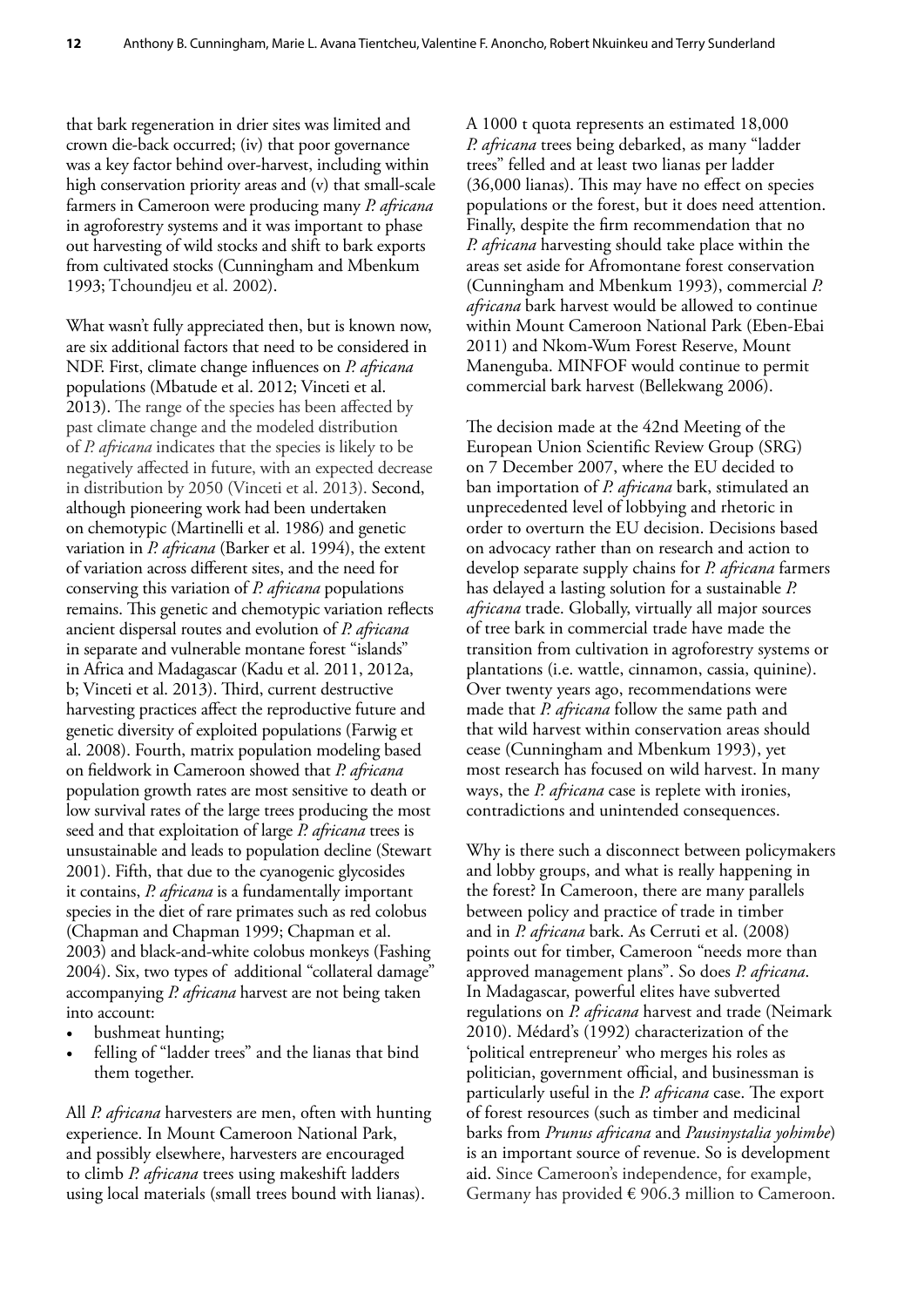that bark regeneration in drier sites was limited and crown die-back occurred; (iv) that poor governance was a key factor behind over-harvest, including within high conservation priority areas and (v) that small-scale farmers in Cameroon were producing many *P. africana*  in agroforestry systems and it was important to phase out harvesting of wild stocks and shift to bark exports from cultivated stocks (Cunningham and Mbenkum 1993; Tchoundjeu et al. 2002).

What wasn't fully appreciated then, but is known now, are six additional factors that need to be considered in NDF. First, climate change influences on *P. africana* populations (Mbatude et al. 2012; Vinceti et al. 2013). The range of the species has been affected by past climate change and the modeled distribution of *P. africana* indicates that the species is likely to be negatively affected in future, with an expected decrease in distribution by 2050 (Vinceti et al. 2013). Second, although pioneering work had been undertaken on chemotypic (Martinelli et al. 1986) and genetic variation in *P. africana* (Barker et al. 1994), the extent of variation across different sites, and the need for conserving this variation of *P. africana* populations remains. This genetic and chemotypic variation reflects ancient dispersal routes and evolution of *P. africana* in separate and vulnerable montane forest "islands" in Africa and Madagascar (Kadu et al. 2011, 2012a, b; Vinceti et al. 2013). Third, current destructive harvesting practices affect the reproductive future and genetic diversity of exploited populations (Farwig et al. 2008). Fourth, matrix population modeling based on fieldwork in Cameroon showed that *P. africana*  population growth rates are most sensitive to death or low survival rates of the large trees producing the most seed and that exploitation of large *P. africana* trees is unsustainable and leads to population decline (Stewart 2001). Fifth, that due to the cyanogenic glycosides it contains, *P. africana* is a fundamentally important species in the diet of rare primates such as red colobus (Chapman and Chapman 1999; Chapman et al. 2003) and black-and-white colobus monkeys (Fashing 2004). Six, two types of additional "collateral damage" accompanying *P. africana* harvest are not being taken into account:

- bushmeat hunting;
- felling of "ladder trees" and the lianas that bind them together.

All *P. africana* harvesters are men, often with hunting experience. In Mount Cameroon National Park, and possibly elsewhere, harvesters are encouraged to climb *P. africana* trees using makeshift ladders using local materials (small trees bound with lianas).

A 1000 t quota represents an estimated 18,000 *P. africana* trees being debarked, as many "ladder trees" felled and at least two lianas per ladder (36,000 lianas). This may have no effect on species populations or the forest, but it does need attention. Finally, despite the firm recommendation that no *P. africana* harvesting should take place within the areas set aside for Afromontane forest conservation (Cunningham and Mbenkum 1993), commercial *P. africana* bark harvest would be allowed to continue within Mount Cameroon National Park (Eben-Ebai 2011) and Nkom-Wum Forest Reserve, Mount Manenguba. MINFOF would continue to permit commercial bark harvest (Bellekwang 2006).

The decision made at the 42nd Meeting of the European Union Scientific Review Group (SRG) on 7 December 2007, where the EU decided to ban importation of *P. africana* bark, stimulated an unprecedented level of lobbying and rhetoric in order to overturn the EU decision. Decisions based on advocacy rather than on research and action to develop separate supply chains for *P. africana* farmers has delayed a lasting solution for a sustainable *P. africana* trade. Globally, virtually all major sources of tree bark in commercial trade have made the transition from cultivation in agroforestry systems or plantations (i.e. wattle, cinnamon, cassia, quinine). Over twenty years ago, recommendations were made that *P. africana* follow the same path and that wild harvest within conservation areas should cease (Cunningham and Mbenkum 1993), yet most research has focused on wild harvest. In many ways, the *P. africana* case is replete with ironies, contradictions and unintended consequences.

Why is there such a disconnect between policymakers and lobby groups, and what is really happening in the forest? In Cameroon, there are many parallels between policy and practice of trade in timber and in *P. africana* bark. As Cerruti et al. (2008) points out for timber, Cameroon "needs more than approved management plans". So does *P. africana*. In Madagascar, powerful elites have subverted regulations on *P. africana* harvest and trade (Neimark 2010). Médard's (1992) characterization of the 'political entrepreneur' who merges his roles as politician, government official, and businessman is particularly useful in the *P. africana* case. The export of forest resources (such as timber and medicinal barks from *Prunus africana* and *Pausinystalia yohimbe*) is an important source of revenue. So is development aid. Since Cameroon's independence, for example, Germany has provided  $\epsilon$  906.3 million to Cameroon.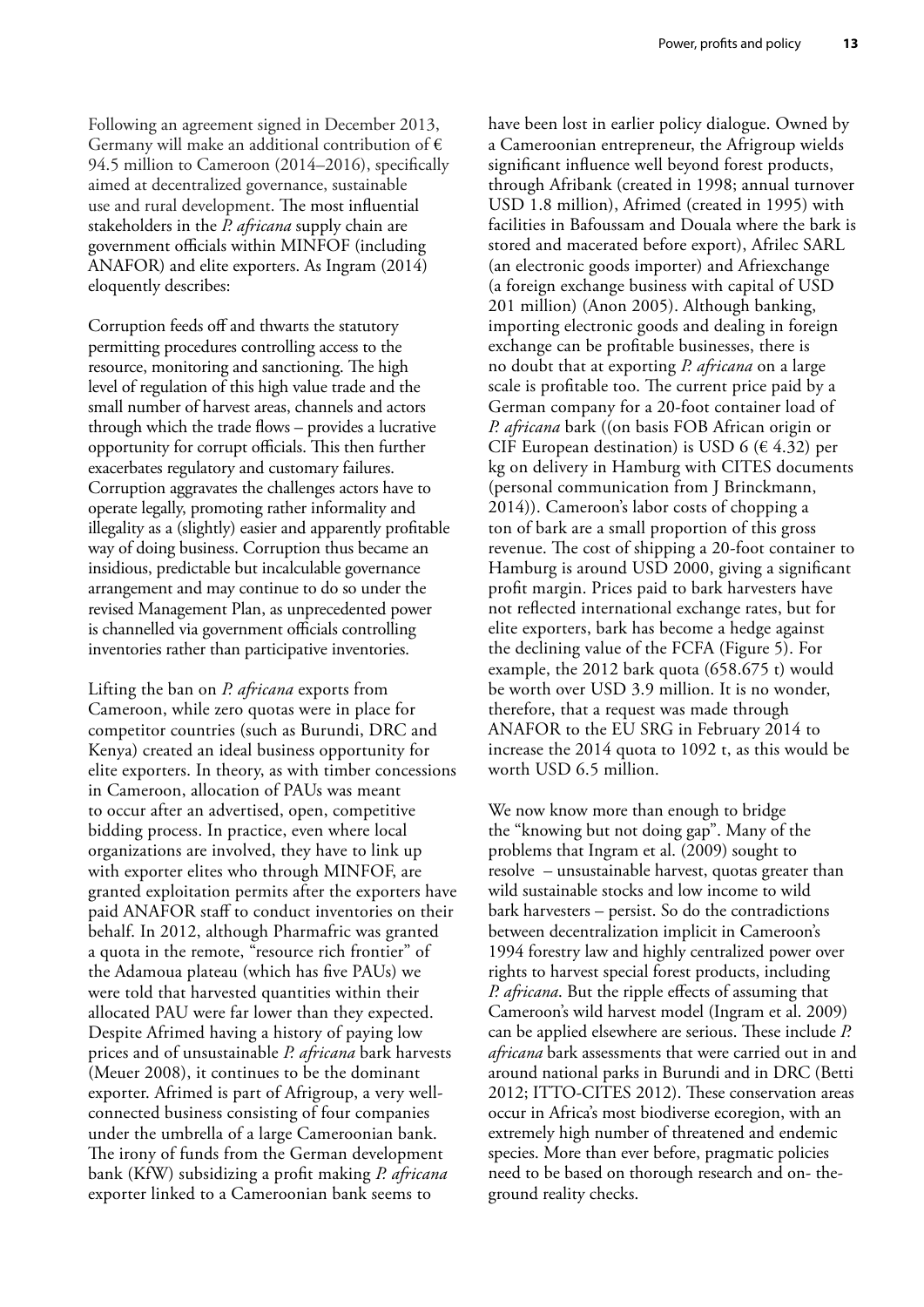Following an agreement signed in December 2013, Germany will make an additional contribution of  $\epsilon$ 94.5 million to Cameroon (2014–2016), specifically aimed at decentralized governance, sustainable use and rural development. The most influential stakeholders in the *P. africana* supply chain are government officials within MINFOF (including ANAFOR) and elite exporters. As Ingram (2014) eloquently describes:

Corruption feeds off and thwarts the statutory permitting procedures controlling access to the resource, monitoring and sanctioning. The high level of regulation of this high value trade and the small number of harvest areas, channels and actors through which the trade flows – provides a lucrative opportunity for corrupt officials. This then further exacerbates regulatory and customary failures. Corruption aggravates the challenges actors have to operate legally, promoting rather informality and illegality as a (slightly) easier and apparently profitable way of doing business. Corruption thus became an insidious, predictable but incalculable governance arrangement and may continue to do so under the revised Management Plan, as unprecedented power is channelled via government officials controlling inventories rather than participative inventories.

Lifting the ban on *P. africana* exports from Cameroon, while zero quotas were in place for competitor countries (such as Burundi, DRC and Kenya) created an ideal business opportunity for elite exporters. In theory, as with timber concessions in Cameroon, allocation of PAUs was meant to occur after an advertised, open, competitive bidding process. In practice, even where local organizations are involved, they have to link up with exporter elites who through MINFOF, are granted exploitation permits after the exporters have paid ANAFOR staff to conduct inventories on their behalf. In 2012, although Pharmafric was granted a quota in the remote, "resource rich frontier" of the Adamoua plateau (which has five PAUs) we were told that harvested quantities within their allocated PAU were far lower than they expected. Despite Afrimed having a history of paying low prices and of unsustainable *P. africana* bark harvests (Meuer 2008), it continues to be the dominant exporter. Afrimed is part of Afrigroup, a very wellconnected business consisting of four companies under the umbrella of a large Cameroonian bank. The irony of funds from the German development bank (KfW) subsidizing a profit making *P. africana* exporter linked to a Cameroonian bank seems to

have been lost in earlier policy dialogue. Owned by a Cameroonian entrepreneur, the Afrigroup wields significant influence well beyond forest products, through Afribank (created in 1998; annual turnover USD 1.8 million), Afrimed (created in 1995) with facilities in Bafoussam and Douala where the bark is stored and macerated before export), Afrilec SARL (an electronic goods importer) and Afriexchange (a foreign exchange business with capital of USD 201 million) (Anon 2005). Although banking, importing electronic goods and dealing in foreign exchange can be profitable businesses, there is no doubt that at exporting *P. africana* on a large scale is profitable too. The current price paid by a German company for a 20-foot container load of *P. africana* bark ((on basis FOB African origin or CIF European destination) is USD 6 ( $\in$  4.32) per kg on delivery in Hamburg with CITES documents (personal communication from J Brinckmann, 2014)). Cameroon's labor costs of chopping a ton of bark are a small proportion of this gross revenue. The cost of shipping a 20-foot container to Hamburg is around USD 2000, giving a significant profit margin. Prices paid to bark harvesters have not reflected international exchange rates, but for elite exporters, bark has become a hedge against the declining value of the FCFA (Figure 5). For example, the 2012 bark quota (658.675 t) would be worth over USD 3.9 million. It is no wonder, therefore, that a request was made through ANAFOR to the EU SRG in February 2014 to increase the 2014 quota to 1092 t, as this would be worth USD 6.5 million.

We now know more than enough to bridge the "knowing but not doing gap". Many of the problems that Ingram et al. (2009) sought to resolve – unsustainable harvest, quotas greater than wild sustainable stocks and low income to wild bark harvesters – persist. So do the contradictions between decentralization implicit in Cameroon's 1994 forestry law and highly centralized power over rights to harvest special forest products, including *P. africana*. But the ripple effects of assuming that Cameroon's wild harvest model (Ingram et al. 2009) can be applied elsewhere are serious. These include *P. africana* bark assessments that were carried out in and around national parks in Burundi and in DRC (Betti 2012; ITTO-CITES 2012). These conservation areas occur in Africa's most biodiverse ecoregion, with an extremely high number of threatened and endemic species. More than ever before, pragmatic policies need to be based on thorough research and on- theground reality checks.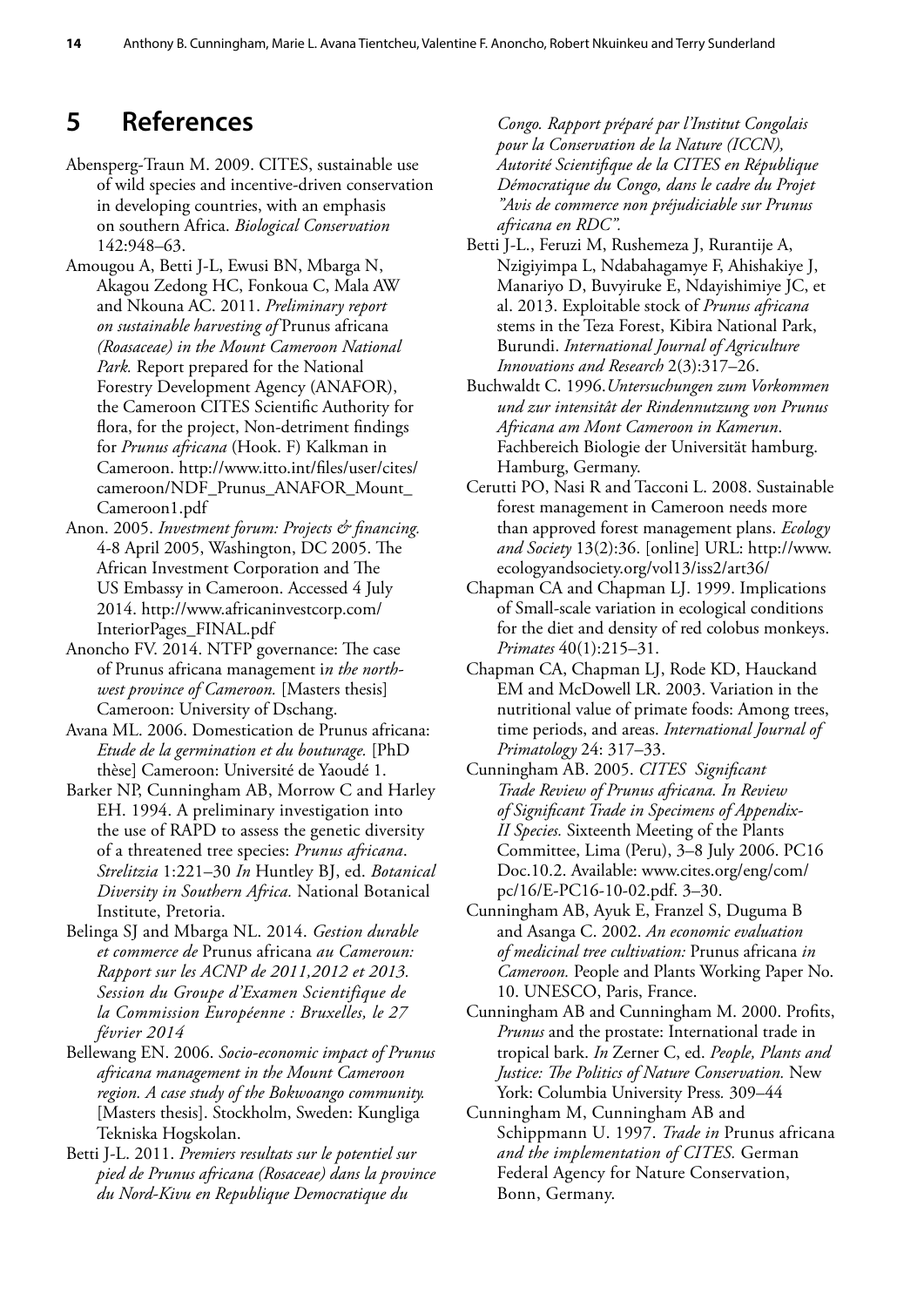# <span id="page-21-0"></span>**5 References**

- Abensperg-Traun M. 2009. CITES, sustainable use of wild species and incentive-driven conservation in developing countries, with an emphasis on southern Africa. *Biological Conservation* 142:948–63.
- Amougou A, Betti J-L, Ewusi BN, Mbarga N, Akagou Zedong HC, Fonkoua C, Mala AW and Nkouna AC. 2011. *Preliminary report on sustainable harvesting of* Prunus africana *(Roasaceae) in the Mount Cameroon National Park.* Report prepared for the National Forestry Development Agency (ANAFOR), the Cameroon CITES Scientific Authority for flora, for the project, Non-detriment findings for *Prunus africana* (Hook. F) Kalkman in Cameroon. [http://www.itto.int/files/user/cites/](http://www.itto.int/files/user/cites/cameroon/NDF_Prunus_ANAFOR_Mount_Cameroon1.pdf) [cameroon/NDF\\_Prunus\\_ANAFOR\\_Mount\\_](http://www.itto.int/files/user/cites/cameroon/NDF_Prunus_ANAFOR_Mount_Cameroon1.pdf) [Cameroon1.pdf](http://www.itto.int/files/user/cites/cameroon/NDF_Prunus_ANAFOR_Mount_Cameroon1.pdf)
- Anon. 2005. *Investment forum: Projects & financing.*  4-8 April 2005, Washington, DC 2005. The African Investment Corporation and The US Embassy in Cameroon. Accessed 4 July 2014. [http://www.africaninvestcorp.com/](http://www.africaninvestcorp.com/InteriorPages_FINAL.pdf) [InteriorPages\\_FINAL.pdf](http://www.africaninvestcorp.com/InteriorPages_FINAL.pdf)
- Anoncho FV. 2014. NTFP governance: The case of Prunus africana management i*n the northwest province of Cameroon.* [Masters thesis] Cameroon: University of Dschang.
- Avana ML. 2006. Domestication de Prunus africana: *Etude de la germination et du bouturage.* [PhD thèse] Cameroon: Université de Yaoudé 1.
- Barker NP, Cunningham AB, Morrow C and Harley EH. 1994. A preliminary investigation into the use of RAPD to assess the genetic diversity of a threatened tree species: *Prunus africana*. *Strelitzia* 1:221–30 *In* Huntley BJ, ed. *Botanical Diversity in Southern Africa.* National Botanical Institute, Pretoria.
- Belinga SJ and Mbarga NL. 2014. *Gestion durable et commerce de* Prunus africana *au Cameroun: Rapport sur les ACNP de 2011,2012 et 2013. Session du Groupe d'Examen Scientifique de la Commission Européenne : Bruxelles, le 27 février 2014*
- Bellewang EN. 2006. *Socio-economic impact of Prunus africana management in the Mount Cameroon region. A case study of the Bokwoango community.* [Masters thesis]. Stockholm, Sweden: Kungliga Tekniska Hogskolan.
- Betti J-L. 2011. *Premiers resultats sur le potentiel sur pied de Prunus africana (Rosaceae) dans la province du Nord-Kivu en Republique Democratique du*

*Congo. Rapport préparé par l'Institut Congolais pour la Conservation de la Nature (ICCN), Autorité Scientifique de la CITES en République Démocratique du Congo, dans le cadre du Projet "Avis de commerce non préjudiciable sur Prunus africana en RDC".*

- Betti J-L., Feruzi M, Rushemeza J, Rurantije A, Nzigiyimpa L, Ndabahagamye F, Ahishakiye J, Manariyo D, Buvyiruke E, Ndayishimiye JC, et al. 2013. Exploitable stock of *Prunus africana* stems in the Teza Forest, Kibira National Park, Burundi. *International Journal of Agriculture Innovations and Research* 2(3):317–26.
- Buchwaldt C. 1996.*Untersuchungen zum Vorkommen und zur intensitât der Rindennutzung von Prunus Africana am Mont Cameroon in Kamerun*. Fachbereich Biologie der Universität hamburg. Hamburg, Germany.
- Cerutti PO, Nasi R and Tacconi L. 2008. Sustainable forest management in Cameroon needs more than approved forest management plans. *Ecology and Society* 13(2):36. [online] URL: [http://www.](http://www.ecologyandsociety.org/vol13/iss2/art36/) [ecologyandsociety.org/vol13/iss2/art36/](http://www.ecologyandsociety.org/vol13/iss2/art36/)
- Chapman CA and Chapman LJ. 1999. Implications of Small-scale variation in ecological conditions for the diet and density of red colobus monkeys. *Primates* 40(1):215–31.
- Chapman CA, Chapman LJ, Rode KD, Hauckand EM and McDowell LR. 2003. Variation in the nutritional value of primate foods: Among trees, time periods, and areas. *International Journal of Primatology* 24: 317–33.
- Cunningham AB. 2005. *CITES Significant Trade Review of Prunus africana. In Review of Significant Trade in Specimens of Appendix-II Species.* Sixteenth Meeting of the Plants Committee, Lima (Peru), 3–8 July 2006. PC16 Doc.10.2. Available: www.cites.org/eng/com/ pc/16/E-PC16-10-02.pdf. 3–30.
- Cunningham AB, Ayuk E, Franzel S, Duguma B and Asanga C. 2002. *An economic evaluation of medicinal tree cultivation:* Prunus africana *in Cameroon.* People and Plants Working Paper No. 10. UNESCO, Paris, France.
- Cunningham AB and Cunningham M. 2000. Profits, *Prunus* and the prostate: International trade in tropical bark. *In* Zerner C, ed. *People, Plants and Justice: The Politics of Nature Conservation.* New York: Columbia University Press*.* 309–44
- Cunningham M, Cunningham AB and Schippmann U. 1997. *Trade in* Prunus africana *and the implementation of CITES.* German Federal Agency for Nature Conservation, Bonn, Germany.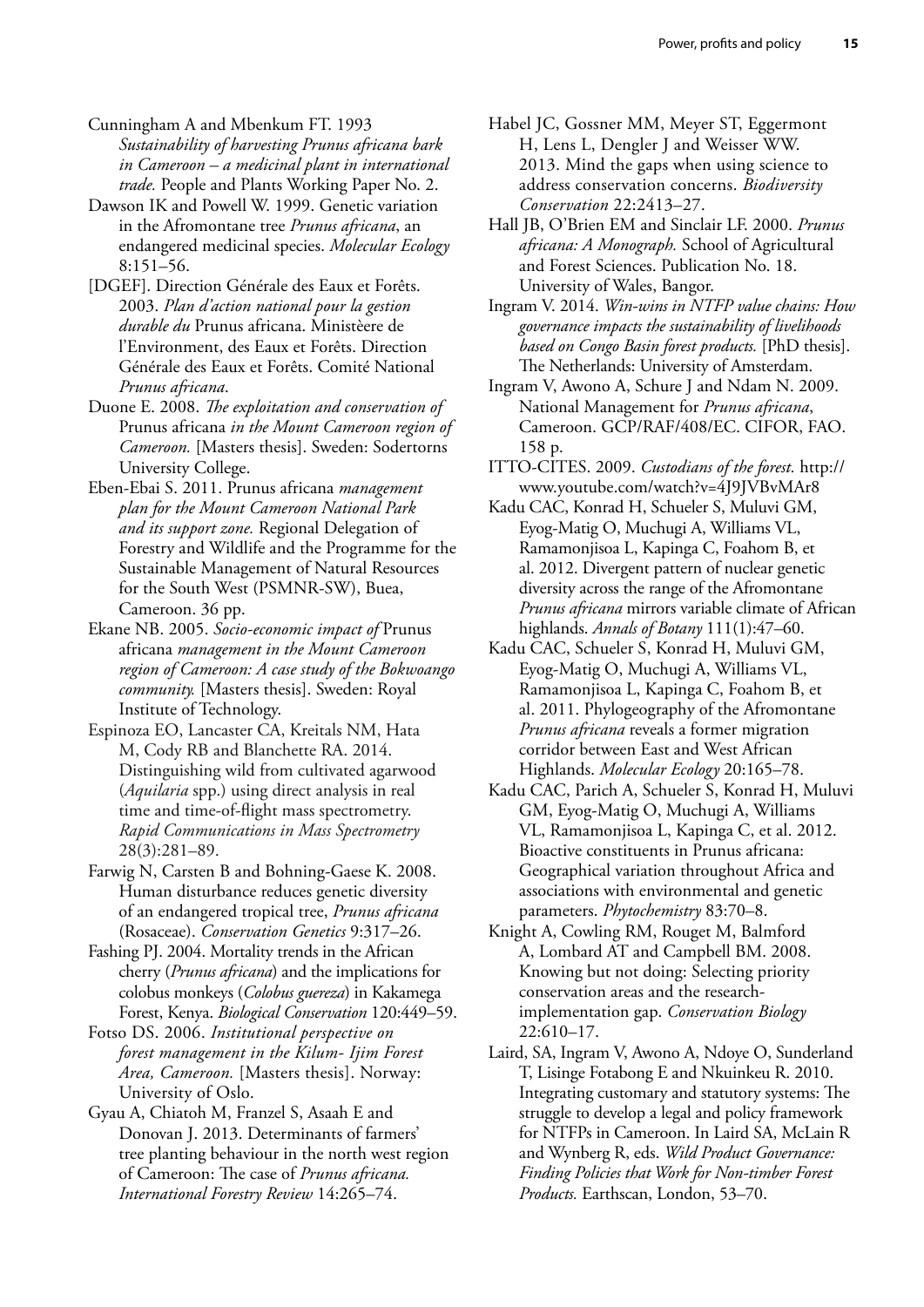Cunningham A and Mbenkum FT. 1993 *Sustainability of harvesting Prunus africana bark in Cameroon – a medicinal plant in international trade.* People and Plants Working Paper No. 2.

Dawson IK and Powell W. 1999. Genetic variation in the Afromontane tree *Prunus africana*, an endangered medicinal species. *Molecular Ecology* 8:151–56.

[DGEF]. Direction Générale des Eaux et Forêts. 2003. *Plan d'action national pour la gestion durable du* Prunus africana. Ministèere de l'Environment, des Eaux et Forêts. Direction Générale des Eaux et Forêts. Comité National *Prunus africana*.

Duone E. 2008. *The exploitation and conservation of*  Prunus africana *in the Mount Cameroon region of Cameroon.* [Masters thesis]. Sweden: Sodertorns University College.

Eben-Ebai S. 2011. Prunus africana *management plan for the Mount Cameroon National Park and its support zone.* Regional Delegation of Forestry and Wildlife and the Programme for the Sustainable Management of Natural Resources for the South West (PSMNR-SW), Buea, Cameroon. 36 pp.

Ekane NB. 2005. *Socio-economic impact of* Prunus africana *management in the Mount Cameroon region of Cameroon: A case study of the Bokwoango community.* [Masters thesis]. Sweden: Royal Institute of Technology.

Espinoza EO, Lancaster CA, Kreitals NM, Hata M, Cody RB and Blanchette RA. 2014. Distinguishing wild from cultivated agarwood (*Aquilaria* spp.) using direct analysis in real time and time-of‐flight mass spectrometry. *Rapid Communications in Mass Spectrometry* 28(3):281–89.

Farwig N, Carsten B and Bohning-Gaese K. 2008. Human disturbance reduces genetic diversity of an endangered tropical tree, *Prunus africana* (Rosaceae). *Conservation Genetics* 9:317–26.

Fashing PJ. 2004. Mortality trends in the African cherry (*Prunus africana*) and the implications for colobus monkeys (*Colobus guereza*) in Kakamega Forest, Kenya. *Biological Conservation* 120:449–59.

Fotso DS. 2006. *Institutional perspective on forest management in the Kilum- Ijim Forest Area, Cameroon.* [Masters thesis]. Norway: University of Oslo.

Gyau A, Chiatoh M, Franzel S, Asaah E and Donovan J. 2013. Determinants of farmers' tree planting behaviour in the north west region of Cameroon: The case of *Prunus africana. International Forestry Review* 14:265–74.

Habel JC, Gossner MM, Meyer ST, Eggermont H, Lens L, Dengler J and Weisser WW. 2013. Mind the gaps when using science to address conservation concerns. *Biodiversity Conservation* 22:2413–27.

Hall JB, O'Brien EM and Sinclair LF. 2000. *Prunus africana: A Monograph.* School of Agricultural and Forest Sciences. Publication No. 18. University of Wales, Bangor.

Ingram V. 2014. *Win-wins in NTFP value chains: How governance impacts the sustainability of livelihoods based on Congo Basin forest products.* [PhD thesis]. The Netherlands: University of Amsterdam.

Ingram V, Awono A, Schure J and Ndam N. 2009. National Management for *Prunus africana*, Cameroon. GCP/RAF/408/EC. CIFOR, FAO. 158 p.

ITTO-CITES. 2009. *Custodians of the forest.* [http://](http://www.youtube.com/watch?v=4J9JVBvMAr8) [www.youtube.com/watch?v=4J9JVBvMAr8](http://www.youtube.com/watch?v=4J9JVBvMAr8)

Kadu CAC, Konrad H, Schueler S, Muluvi GM, Eyog-Matig O, Muchugi A, Williams VL, Ramamonjisoa L, Kapinga C, Foahom B, et al. 2012. Divergent pattern of nuclear genetic diversity across the range of the Afromontane *Prunus africana* mirrors variable climate of African highlands. *Annals of Botany* 111(1):47–60.

Kadu CAC, Schueler S, Konrad H, Muluvi GM, Eyog-Matig O, Muchugi A, Williams VL, Ramamonjisoa L, Kapinga C, Foahom B, et al. 2011. Phylogeography of the Afromontane *Prunus africana* reveals a former migration corridor between East and West African Highlands. *Molecular Ecology* 20:165–78.

Kadu CAC, Parich A, Schueler S, Konrad H, Muluvi GM, Eyog-Matig O, Muchugi A, Williams VL, Ramamonjisoa L, Kapinga C, et al. 2012. Bioactive constituents in Prunus africana: Geographical variation throughout Africa and associations with environmental and genetic parameters. *Phytochemistry* 83:70–8.

Knight A, Cowling RM, Rouget M, Balmford A, Lombard AT and Campbell BM. 2008. Knowing but not doing: Selecting priority conservation areas and the researchimplementation gap. *Conservation Biology* 22:610–17.

Laird, SA, Ingram V, Awono A, Ndoye O, Sunderland T, Lisinge Fotabong E and Nkuinkeu R. 2010. Integrating customary and statutory systems: The struggle to develop a legal and policy framework for NTFPs in Cameroon. In Laird SA, McLain R and Wynberg R, eds. *Wild Product Governance: Finding Policies that Work for Non-timber Forest Products.* Earthscan, London, 53–70.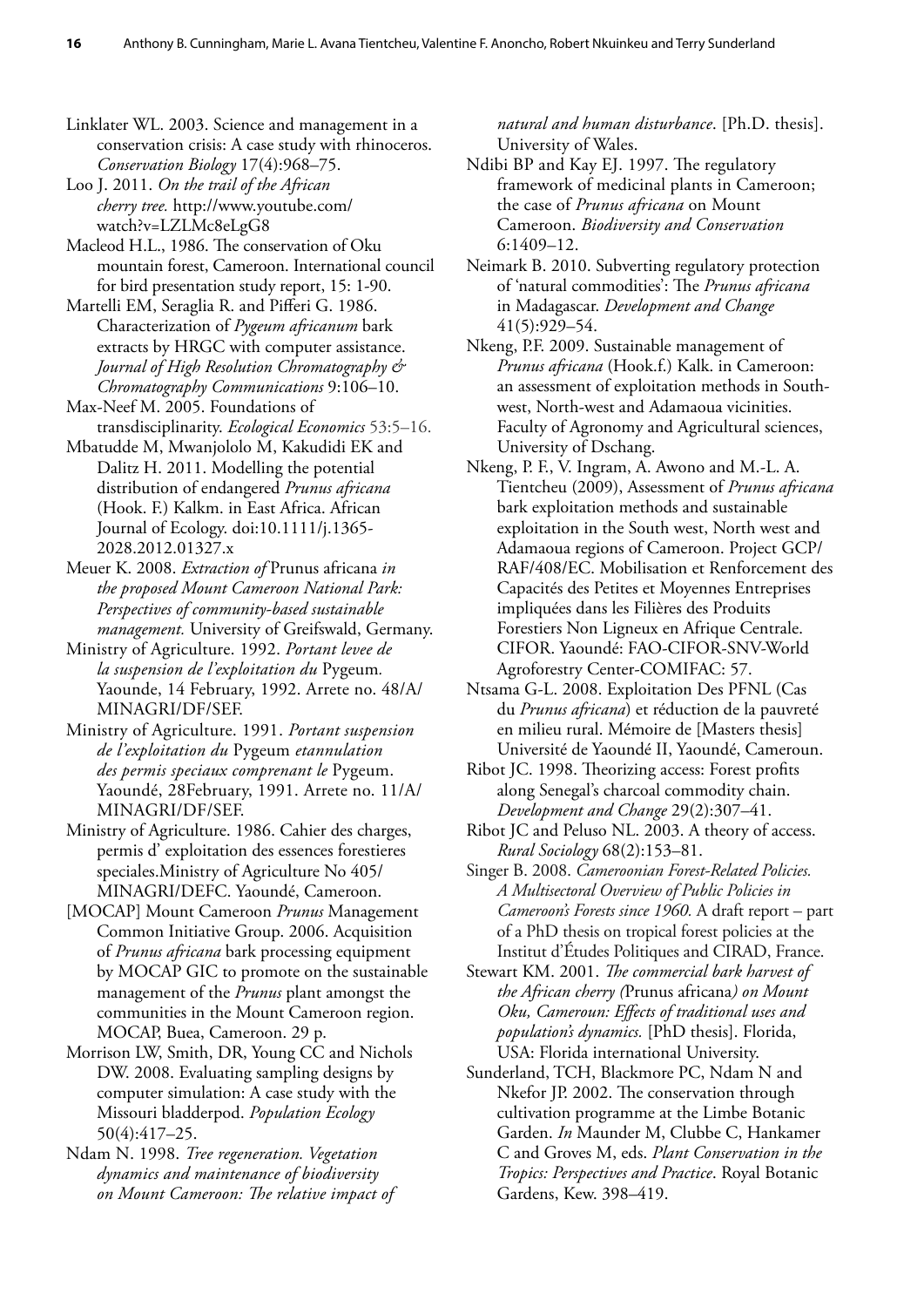Linklater WL. 2003. Science and management in a conservation crisis: A case study with rhinoceros. *Conservation Biology* 17(4):968–75.

Loo J. 2011. *On the trail of the African cherry tree.* http://www.youtube.com/ watch?v=LZLMc8eLgG8

Macleod H.L., 1986. The conservation of Oku mountain forest, Cameroon. International council for bird presentation study report, 15: 1-90.

Martelli EM, Seraglia R. and Pifferi G. 1986. Characterization of *Pygeum africanum* bark extracts by HRGC with computer assistance. *Journal of High Resolution Chromatography & Chromatography Communications* 9:106–10.

Max-Neef M. 2005. Foundations of transdisciplinarity. *Ecological Economics* 53:5–16.

Mbatudde M, Mwanjololo M, Kakudidi EK and Dalitz H. 2011. Modelling the potential distribution of endangered *Prunus africana* (Hook. F.) Kalkm. in East Africa. African Journal of Ecology. doi:10.1111/j.1365- 2028.2012.01327.x

Meuer K. 2008. *Extraction of* Prunus africana *in the proposed Mount Cameroon National Park: Perspectives of community-based sustainable management.* University of Greifswald, Germany.

Ministry of Agriculture. 1992. *Portant levee de la suspension de l'exploitation du* Pygeum*.*  Yaounde, 14 February, 1992. Arrete no. 48/A/ MINAGRI/DF/SEF.

Ministry of Agriculture. 1991. *Portant suspension de l'exploitation du* Pygeum *etannulation des permis speciaux comprenant le* Pygeum. Yaoundé, 28February, 1991. Arrete no. 11/A/ MINAGRI/DF/SEF.

Ministry of Agriculture. 1986. Cahier des charges, permis d' exploitation des essences forestieres speciales.Ministry of Agriculture No 405/ MINAGRI/DEFC. Yaoundé, Cameroon.

[MOCAP] Mount Cameroon *Prunus* Management Common Initiative Group. 2006. Acquisition of *Prunus africana* bark processing equipment by MOCAP GIC to promote on the sustainable management of the *Prunus* plant amongst the communities in the Mount Cameroon region. MOCAP, Buea, Cameroon. 29 p.

Morrison LW, Smith, DR, Young CC and Nichols DW. 2008. Evaluating sampling designs by computer simulation: A case study with the Missouri bladderpod. *Population Ecology* 50(4):417–25.

Ndam N. 1998. *Tree regeneration. Vegetation dynamics and maintenance of biodiversity on Mount Cameroon: The relative impact of*  *natural and human disturbance*. [Ph.D. thesis]. University of Wales.

Ndibi BP and Kay EJ. 1997. The regulatory framework of medicinal plants in Cameroon; the case of *Prunus africana* on Mount Cameroon. *Biodiversity and Conservation*  6:1409–12.

Neimark B. 2010. Subverting regulatory protection of 'natural commodities': The *Prunus africana*  in Madagascar. *Development and Change*  41(5):929–54.

Nkeng, P.F. 2009. Sustainable management of *Prunus africana* (Hook.f.) Kalk. in Cameroon: an assessment of exploitation methods in Southwest, North-west and Adamaoua vicinities. Faculty of Agronomy and Agricultural sciences, University of Dschang.

Nkeng, P. F., V. Ingram, A. Awono and M.-L. A. Tientcheu (2009), Assessment of *Prunus africana*  bark exploitation methods and sustainable exploitation in the South west, North west and Adamaoua regions of Cameroon. Project GCP/ RAF/408/EC. Mobilisation et Renforcement des Capacités des Petites et Moyennes Entreprises impliquées dans les Filières des Produits Forestiers Non Ligneux en Afrique Centrale. CIFOR. Yaoundé: FAO-CIFOR-SNV-World Agroforestry Center-COMIFAC: 57.

Ntsama G-L. 2008. Exploitation Des PFNL (Cas du *Prunus africana*) et réduction de la pauvreté en milieu rural. Mémoire de [Masters thesis] Université de Yaoundé II, Yaoundé, Cameroun.

Ribot JC. 1998. Theorizing access: Forest profits along Senegal's charcoal commodity chain. *Development and Change* 29(2):307–41.

Ribot JC and Peluso NL. 2003. A theory of access. *Rural Sociology* 68(2):153–81.

Singer B. 2008. *Cameroonian Forest-Related Policies. A Multisectoral Overview of Public Policies in Cameroon's Forests since 1960.* A draft report – part of a PhD thesis on tropical forest policies at the Institut d'Études Politiques and CIRAD, France.

Stewart KM. 2001. *The commercial bark harvest of the African cherry (*Prunus africana*) on Mount Oku, Cameroun: Effects of traditional uses and population's dynamics.* [PhD thesis]. Florida, USA: Florida international University.

Sunderland, TCH, Blackmore PC, Ndam N and Nkefor JP. 2002. The conservation through cultivation programme at the Limbe Botanic Garden. *In* Maunder M, Clubbe C, Hankamer C and Groves M, eds. *Plant Conservation in the Tropics: Perspectives and Practice*. Royal Botanic Gardens, Kew. 398–419.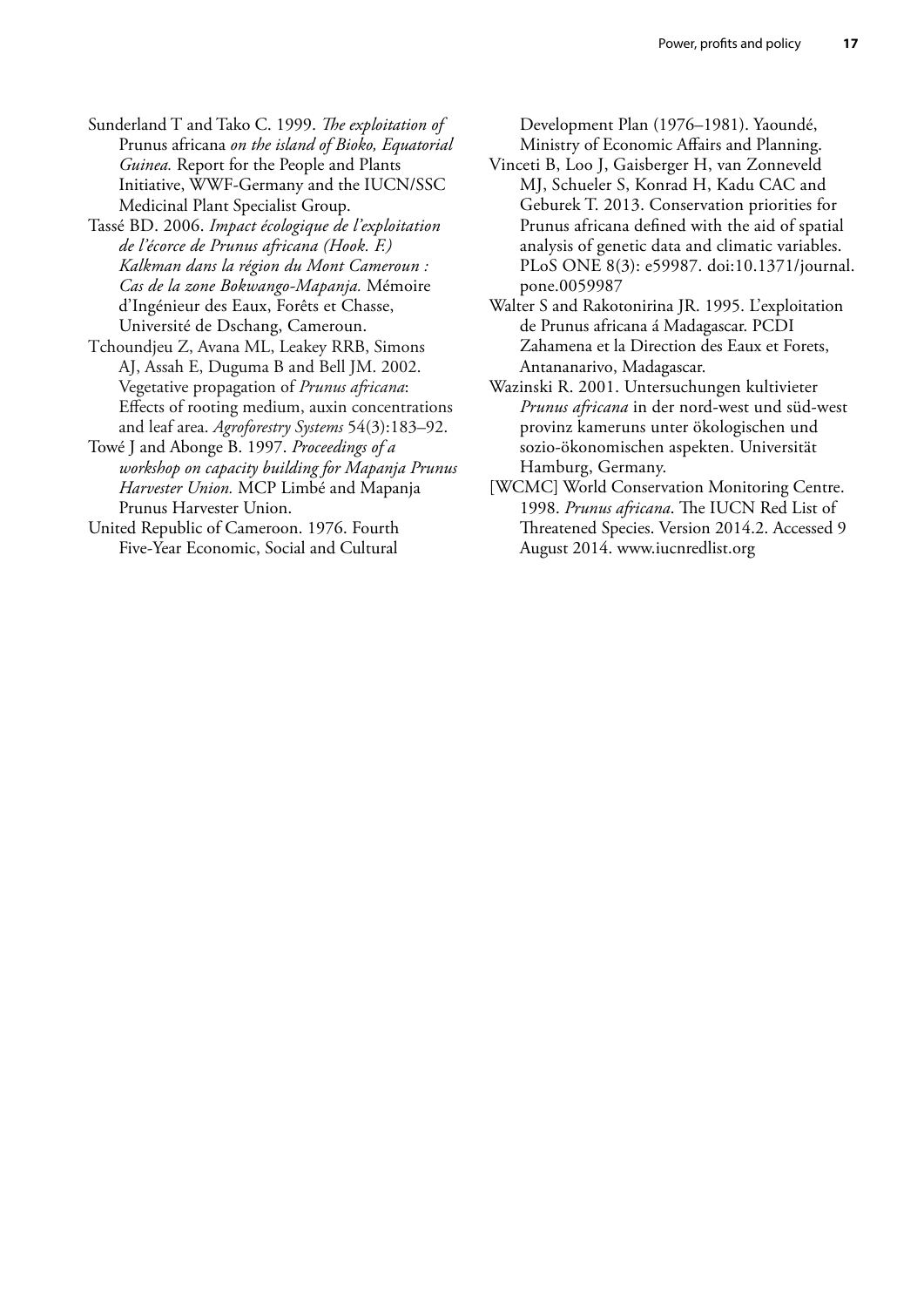- Sunderland T and Tako C. 1999. *The exploitation of*  Prunus africana *on the island of Bioko, Equatorial Guinea.* Report for the People and Plants Initiative, WWF-Germany and the IUCN/SSC Medicinal Plant Specialist Group.
- Tassé BD. 2006. *Impact écologique de l'exploitation de l'écorce de Prunus africana (Hook. F.) Kalkman dans la région du Mont Cameroun : Cas de la zone Bokwango-Mapanja.* Mémoire d'Ingénieur des Eaux, Forêts et Chasse, Université de Dschang, Cameroun.
- Tchoundjeu Z, Avana ML, Leakey RRB, Simons AJ, Assah E, Duguma B and Bell JM. 2002. Vegetative propagation of *Prunus africana*: Effects of rooting medium, auxin concentrations and leaf area. *Agroforestry Systems* 54(3):183–92.
- Towé J and Abonge B. 1997. *Proceedings of a workshop on capacity building for Mapanja Prunus Harvester Union.* MCP Limbé and Mapanja Prunus Harvester Union.
- United Republic of Cameroon. 1976. Fourth Five-Year Economic, Social and Cultural

Development Plan (1976–1981). Yaoundé, Ministry of Economic Affairs and Planning.

- Vinceti B, Loo J, Gaisberger H, van Zonneveld MJ, Schueler S, Konrad H, Kadu CAC and Geburek T. 2013. Conservation priorities for Prunus africana defined with the aid of spatial analysis of genetic data and climatic variables. PLoS ONE 8(3): e59987. doi:10.1371/journal. pone.0059987
- Walter S and Rakotonirina JR. 1995. L'exploitation de Prunus africana á Madagascar. PCDI Zahamena et la Direction des Eaux et Forets, Antananarivo, Madagascar.
- Wazinski R. 2001. Untersuchungen kultivieter *Prunus africana* in der nord-west und süd-west provinz kameruns unter ökologischen und sozio-ökonomischen aspekten. Universität Hamburg, Germany.
- [WCMC] World Conservation Monitoring Centre. 1998. *Prunus africana*. The IUCN Red List of Threatened Species. Version 2014.2. Accessed 9 August 2014. [www.iucnredlist.org](http://www.iucnredlist.org/)